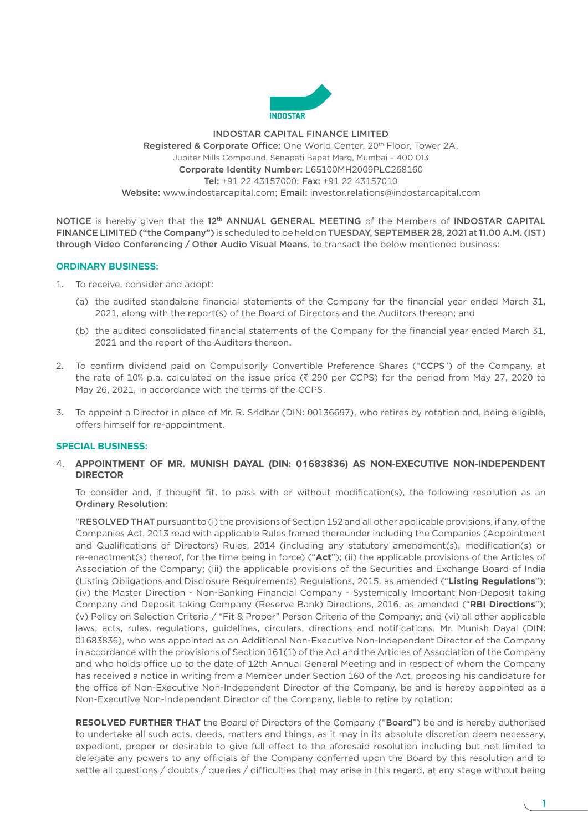

# INDOSTAR CAPITAL FINANCE LIMITED Registered & Corporate Office: One World Center, 20<sup>th</sup> Floor, Tower 2A, Jupiter Mills Compound, Senapati Bapat Marg, Mumbai – 400 013 Corporate Identity Number: L65100MH2009PLC268160 Tel: +91 22 43157000; Fax: +91 22 43157010 Website:<www.indostarcapital.com>; Email: [investor.relations@indostarcapital.com](mailto:investor.relations@indostarcapital.com)

NOTICE is hereby given that the 12<sup>th</sup> ANNUAL GENERAL MEETING of the Members of INDOSTAR CAPITAL FINANCE LIMITED ("the Company") is scheduled to be held on TUESDAY, SEPTEMBER 28, 2021 at 11.00 A.M. (IST) through Video Conferencing / Other Audio Visual Means, to transact the below mentioned business:

# **ORDINARY BUSINESS:**

- 1. To receive, consider and adopt:
	- (a) the audited standalone financial statements of the Company for the financial year ended March 31, 2021, along with the report(s) of the Board of Directors and the Auditors thereon; and
	- (b) the audited consolidated financial statements of the Company for the financial year ended March 31, 2021 and the report of the Auditors thereon.
- 2. To confirm dividend paid on Compulsorily Convertible Preference Shares ("CCPS") of the Company, at the rate of 10% p.a. calculated on the issue price ( $\bar{\tau}$  290 per CCPS) for the period from May 27, 2020 to May 26, 2021, in accordance with the terms of the CCPS.
- 3. To appoint a Director in place of Mr. R. Sridhar (DIN: 00136697), who retires by rotation and, being eligible, offers himself for re-appointment.

# **SPECIAL BUSINESS:**

4. **APPOINTMENT OF MR. MUNISH DAYAL (DIN: 01683836) AS NON-EXECUTIVE NON-INDEPENDENT DIRECTOR**

 To consider and, if thought fit, to pass with or without modification(s), the following resolution as an Ordinary Resolution:

 "RESOLVED THAT pursuant to (i) the provisions of Section 152 and all other applicable provisions, if any, of the Companies Act, 2013 read with applicable Rules framed thereunder including the Companies (Appointment and Qualifications of Directors) Rules, 2014 (including any statutory amendment(s), modification(s) or re-enactment(s) thereof, for the time being in force) ("**Act**"); (ii) the applicable provisions of the Articles of Association of the Company; (iii) the applicable provisions of the Securities and Exchange Board of India (Listing Obligations and Disclosure Requirements) Regulations, 2015, as amended ("**Listing Regulations**"); (iv) the Master Direction - Non-Banking Financial Company - Systemically Important Non-Deposit taking Company and Deposit taking Company (Reserve Bank) Directions, 2016, as amended ("**RBI Directions**"); (v) Policy on Selection Criteria / "Fit & Proper" Person Criteria of the Company; and (vi) all other applicable laws, acts, rules, regulations, guidelines, circulars, directions and notifications, Mr. Munish Dayal (DIN: 01683836), who was appointed as an Additional Non-Executive Non-Independent Director of the Company in accordance with the provisions of Section 161(1) of the Act and the Articles of Association of the Company and who holds office up to the date of 12th Annual General Meeting and in respect of whom the Company has received a notice in writing from a Member under Section 160 of the Act, proposing his candidature for the office of Non-Executive Non-Independent Director of the Company, be and is hereby appointed as a Non-Executive Non-Independent Director of the Company, liable to retire by rotation;

**RESOLVED FURTHER THAT** the Board of Directors of the Company ("Board") be and is hereby authorised to undertake all such acts, deeds, matters and things, as it may in its absolute discretion deem necessary, expedient, proper or desirable to give full effect to the aforesaid resolution including but not limited to delegate any powers to any officials of the Company conferred upon the Board by this resolution and to settle all questions / doubts / queries / difficulties that may arise in this regard, at any stage without being

1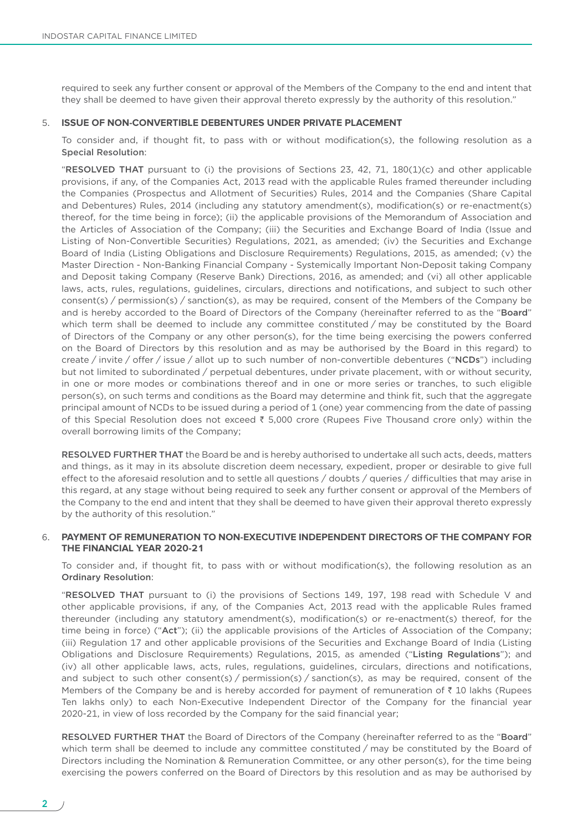required to seek any further consent or approval of the Members of the Company to the end and intent that they shall be deemed to have given their approval thereto expressly by the authority of this resolution."

### 5. **ISSUE OF NON-CONVERTIBLE DEBENTURES UNDER PRIVATE PLACEMENT**

 To consider and, if thought fit, to pass with or without modification(s), the following resolution as a Special Resolution:

 "RESOLVED THAT pursuant to (i) the provisions of Sections 23, 42, 71, 180(1)(c) and other applicable provisions, if any, of the Companies Act, 2013 read with the applicable Rules framed thereunder including the Companies (Prospectus and Allotment of Securities) Rules, 2014 and the Companies (Share Capital and Debentures) Rules, 2014 (including any statutory amendment(s), modification(s) or re-enactment(s) thereof, for the time being in force); (ii) the applicable provisions of the Memorandum of Association and the Articles of Association of the Company; (iii) the Securities and Exchange Board of India (Issue and Listing of Non-Convertible Securities) Regulations, 2021, as amended; (iv) the Securities and Exchange Board of India (Listing Obligations and Disclosure Requirements) Regulations, 2015, as amended; (v) the Master Direction - Non-Banking Financial Company - Systemically Important Non-Deposit taking Company and Deposit taking Company (Reserve Bank) Directions, 2016, as amended; and (vi) all other applicable laws, acts, rules, regulations, guidelines, circulars, directions and notifications, and subject to such other consent(s) / permission(s) / sanction(s), as may be required, consent of the Members of the Company be and is hereby accorded to the Board of Directors of the Company (hereinafter referred to as the "Board" which term shall be deemed to include any committee constituted / may be constituted by the Board of Directors of the Company or any other person(s), for the time being exercising the powers conferred on the Board of Directors by this resolution and as may be authorised by the Board in this regard) to create / invite / offer / issue / allot up to such number of non-convertible debentures ("NCDs") including but not limited to subordinated / perpetual debentures, under private placement, with or without security, in one or more modes or combinations thereof and in one or more series or tranches, to such eligible person(s), on such terms and conditions as the Board may determine and think fit, such that the aggregate principal amount of NCDs to be issued during a period of 1 (one) year commencing from the date of passing of this Special Resolution does not exceed  $\bar{\tau}$  5,000 crore (Rupees Five Thousand crore only) within the overall borrowing limits of the Company;

 RESOLVED FURTHER THAT the Board be and is hereby authorised to undertake all such acts, deeds, matters and things, as it may in its absolute discretion deem necessary, expedient, proper or desirable to give full effect to the aforesaid resolution and to settle all questions / doubts / queries / difficulties that may arise in this regard, at any stage without being required to seek any further consent or approval of the Members of the Company to the end and intent that they shall be deemed to have given their approval thereto expressly by the authority of this resolution."

# 6. **PAYMENT OF REMUNERATION TO NON-EXECUTIVE INDEPENDENT DIRECTORS OF THE COMPANY FOR THE FINANCIAL YEAR 2020-21**

 To consider and, if thought fit, to pass with or without modification(s), the following resolution as an Ordinary Resolution:

 "RESOLVED THAT pursuant to (i) the provisions of Sections 149, 197, 198 read with Schedule V and other applicable provisions, if any, of the Companies Act, 2013 read with the applicable Rules framed thereunder (including any statutory amendment(s), modification(s) or re-enactment(s) thereof, for the time being in force) ("Act"); (ii) the applicable provisions of the Articles of Association of the Company; (iii) Regulation 17 and other applicable provisions of the Securities and Exchange Board of India (Listing Obligations and Disclosure Requirements) Regulations, 2015, as amended ("Listing Regulations"); and (iv) all other applicable laws, acts, rules, regulations, guidelines, circulars, directions and notifications, and subject to such other consent(s) / permission(s) / sanction(s), as may be required, consent of the Members of the Company be and is hereby accorded for payment of remuneration of  $\bar{\tau}$  10 lakhs (Rupees Ten lakhs only) to each Non-Executive Independent Director of the Company for the financial year 2020-21, in view of loss recorded by the Company for the said financial year;

RESOLVED FURTHER THAT the Board of Directors of the Company (hereinafter referred to as the "Board" which term shall be deemed to include any committee constituted / may be constituted by the Board of Directors including the Nomination & Remuneration Committee, or any other person(s), for the time being exercising the powers conferred on the Board of Directors by this resolution and as may be authorised by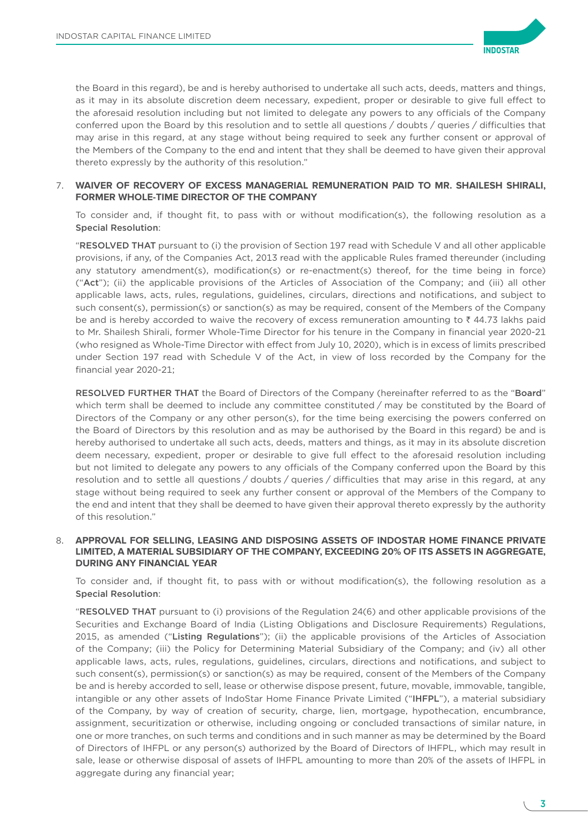

the Board in this regard), be and is hereby authorised to undertake all such acts, deeds, matters and things, as it may in its absolute discretion deem necessary, expedient, proper or desirable to give full effect to the aforesaid resolution including but not limited to delegate any powers to any officials of the Company conferred upon the Board by this resolution and to settle all questions / doubts / queries / difficulties that may arise in this regard, at any stage without being required to seek any further consent or approval of the Members of the Company to the end and intent that they shall be deemed to have given their approval thereto expressly by the authority of this resolution."

# 7. **WAIVER OF RECOVERY OF EXCESS MANAGERIAL REMUNERATION PAID TO MR. SHAILESH SHIRALI, FORMER WHOLE-TIME DIRECTOR OF THE COMPANY**

 To consider and, if thought fit, to pass with or without modification(s), the following resolution as a Special Resolution:

 "RESOLVED THAT pursuant to (i) the provision of Section 197 read with Schedule V and all other applicable provisions, if any, of the Companies Act, 2013 read with the applicable Rules framed thereunder (including any statutory amendment(s), modification(s) or re-enactment(s) thereof, for the time being in force) ("Act"); (ii) the applicable provisions of the Articles of Association of the Company; and (iii) all other applicable laws, acts, rules, regulations, guidelines, circulars, directions and notifications, and subject to such consent(s), permission(s) or sanction(s) as may be required, consent of the Members of the Company be and is hereby accorded to waive the recovery of excess remuneration amounting to  $\bar{\tau}$  44.73 lakhs paid to Mr. Shailesh Shirali, former Whole-Time Director for his tenure in the Company in financial year 2020-21 (who resigned as Whole-Time Director with effect from July 10, 2020), which is in excess of limits prescribed under Section 197 read with Schedule V of the Act, in view of loss recorded by the Company for the financial year 2020-21;

RESOLVED FURTHER THAT the Board of Directors of the Company (hereinafter referred to as the "Board" which term shall be deemed to include any committee constituted / may be constituted by the Board of Directors of the Company or any other person(s), for the time being exercising the powers conferred on the Board of Directors by this resolution and as may be authorised by the Board in this regard) be and is hereby authorised to undertake all such acts, deeds, matters and things, as it may in its absolute discretion deem necessary, expedient, proper or desirable to give full effect to the aforesaid resolution including but not limited to delegate any powers to any officials of the Company conferred upon the Board by this resolution and to settle all questions / doubts / queries / difficulties that may arise in this regard, at any stage without being required to seek any further consent or approval of the Members of the Company to the end and intent that they shall be deemed to have given their approval thereto expressly by the authority of this resolution."

## 8. **APPROVAL FOR SELLING, LEASING AND DISPOSING ASSETS OF INDOSTAR HOME FINANCE PRIVATE LIMITED, A MATERIAL SUBSIDIARY OF THE COMPANY, EXCEEDING 20% OF ITS ASSETS IN AGGREGATE, DURING ANY FINANCIAL YEAR**

 To consider and, if thought fit, to pass with or without modification(s), the following resolution as a Special Resolution:

 "RESOLVED THAT pursuant to (i) provisions of the Regulation 24(6) and other applicable provisions of the Securities and Exchange Board of India (Listing Obligations and Disclosure Requirements) Regulations, 2015, as amended ("Listing Regulations"); (ii) the applicable provisions of the Articles of Association of the Company; (iii) the Policy for Determining Material Subsidiary of the Company; and (iv) all other applicable laws, acts, rules, regulations, guidelines, circulars, directions and notifications, and subject to such consent(s), permission(s) or sanction(s) as may be required, consent of the Members of the Company be and is hereby accorded to sell, lease or otherwise dispose present, future, movable, immovable, tangible, intangible or any other assets of IndoStar Home Finance Private Limited ("IHFPL"), a material subsidiary of the Company, by way of creation of security, charge, lien, mortgage, hypothecation, encumbrance, assignment, securitization or otherwise, including ongoing or concluded transactions of similar nature, in one or more tranches, on such terms and conditions and in such manner as may be determined by the Board of Directors of IHFPL or any person(s) authorized by the Board of Directors of IHFPL, which may result in sale, lease or otherwise disposal of assets of IHFPL amounting to more than 20% of the assets of IHFPL in aggregate during any financial year;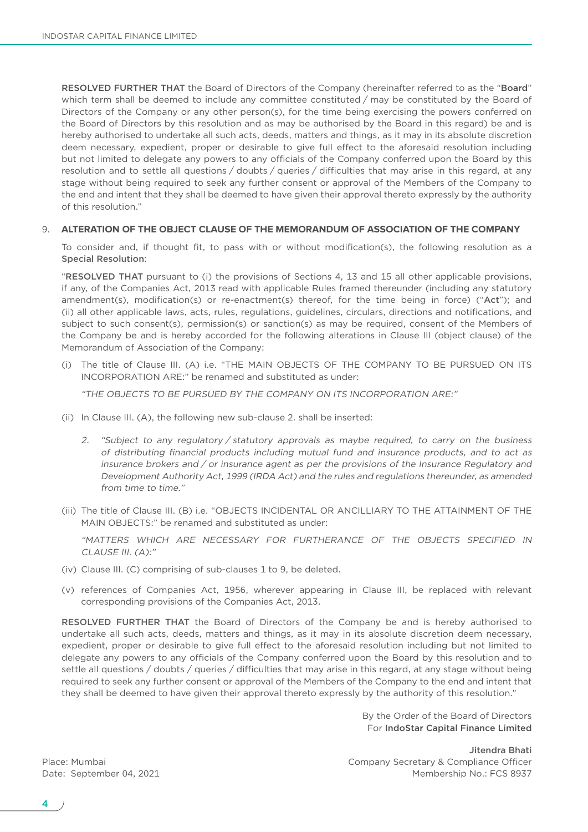RESOLVED FURTHER THAT the Board of Directors of the Company (hereinafter referred to as the "Board" which term shall be deemed to include any committee constituted / may be constituted by the Board of Directors of the Company or any other person(s), for the time being exercising the powers conferred on the Board of Directors by this resolution and as may be authorised by the Board in this regard) be and is hereby authorised to undertake all such acts, deeds, matters and things, as it may in its absolute discretion deem necessary, expedient, proper or desirable to give full effect to the aforesaid resolution including but not limited to delegate any powers to any officials of the Company conferred upon the Board by this resolution and to settle all questions / doubts / queries / difficulties that may arise in this regard, at any stage without being required to seek any further consent or approval of the Members of the Company to the end and intent that they shall be deemed to have given their approval thereto expressly by the authority of this resolution."

### 9. **ALTERATION OF THE OBJECT CLAUSE OF THE MEMORANDUM OF ASSOCIATION OF THE COMPANY**

 To consider and, if thought fit, to pass with or without modification(s), the following resolution as a Special Resolution:

 "RESOLVED THAT pursuant to (i) the provisions of Sections 4, 13 and 15 all other applicable provisions, if any, of the Companies Act, 2013 read with applicable Rules framed thereunder (including any statutory amendment(s), modification(s) or re-enactment(s) thereof, for the time being in force) ("Act"); and (ii) all other applicable laws, acts, rules, regulations, guidelines, circulars, directions and notifications, and subject to such consent(s), permission(s) or sanction(s) as may be required, consent of the Members of the Company be and is hereby accorded for the following alterations in Clause III (object clause) of the Memorandum of Association of the Company:

(i) The title of Clause III. (A) i.e. "THE MAIN OBJECTS OF THE COMPANY TO BE PURSUED ON ITS INCORPORATION ARE:" be renamed and substituted as under:

"THE OBJECTS TO BE PURSUED BY THE COMPANY ON ITS INCORPORATION ARE:"

- (ii) In Clause III. (A), the following new sub-clause 2. shall be inserted:
	- 2. "Subject to any regulatory / statutory approvals as maybe required, to carry on the business of distributing financial products including mutual fund and insurance products, and to act as insurance brokers and / or insurance agent as per the provisions of the Insurance Regulatory and Development Authority Act, 1999 (IRDA Act) and the rules and regulations thereunder, as amended from time to time."
- (iii) The title of Clause III. (B) i.e. "OBJECTS INCIDENTAL OR ANCILLIARY TO THE ATTAINMENT OF THE MAIN OBJECTS:" be renamed and substituted as under:

 "MATTERS WHICH ARE NECESSARY FOR FURTHERANCE OF THE OBJECTS SPECIFIED IN CLAUSE III. (A):"

- (iv) Clause III. (C) comprising of sub-clauses 1 to 9, be deleted.
- (v) references of Companies Act, 1956, wherever appearing in Clause III, be replaced with relevant corresponding provisions of the Companies Act, 2013.

 RESOLVED FURTHER THAT the Board of Directors of the Company be and is hereby authorised to undertake all such acts, deeds, matters and things, as it may in its absolute discretion deem necessary, expedient, proper or desirable to give full effect to the aforesaid resolution including but not limited to delegate any powers to any officials of the Company conferred upon the Board by this resolution and to settle all questions / doubts / queries / difficulties that may arise in this regard, at any stage without being required to seek any further consent or approval of the Members of the Company to the end and intent that they shall be deemed to have given their approval thereto expressly by the authority of this resolution."

> By the Order of the Board of Directors For IndoStar Capital Finance Limited

Jitendra Bhati Place: Mumbai Company Secretary & Compliance Officer Date: September 04, 2021 Membership No.: FCS 8937

4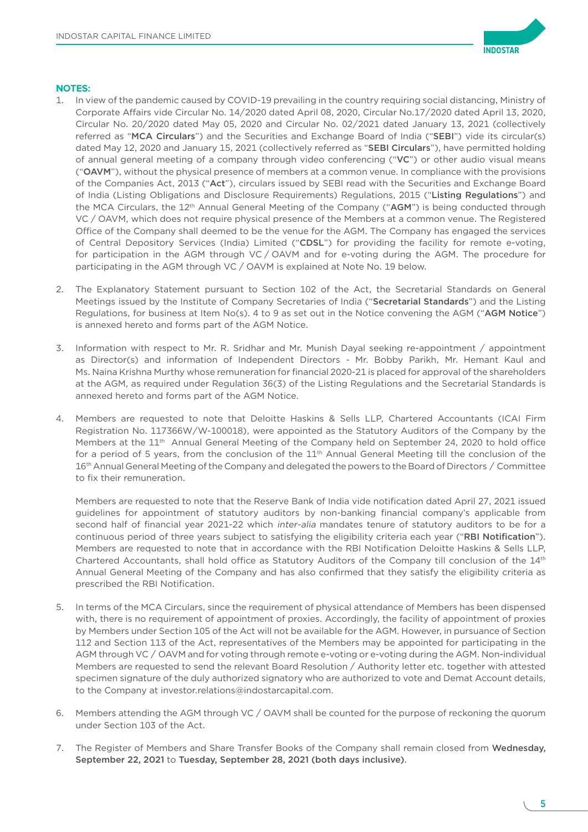

# **NOTES:**

- 1. In view of the pandemic caused by COVID-19 prevailing in the country requiring social distancing, Ministry of Corporate Affairs vide Circular No. 14/2020 dated April 08, 2020, Circular No.17/2020 dated April 13, 2020, Circular No. 20/2020 dated May 05, 2020 and Circular No. 02/2021 dated January 13, 2021 (collectively referred as "MCA Circulars") and the Securities and Exchange Board of India ("SEBI") vide its circular(s) dated May 12, 2020 and January 15, 2021 (collectively referred as "SEBI Circulars"), have permitted holding of annual general meeting of a company through video conferencing ("VC") or other audio visual means ("OAVM"), without the physical presence of members at a common venue. In compliance with the provisions of the Companies Act, 2013 ("Act"), circulars issued by SEBI read with the Securities and Exchange Board of India (Listing Obligations and Disclosure Requirements) Regulations, 2015 ("Listing Regulations") and the MCA Circulars, the 12<sup>th</sup> Annual General Meeting of the Company ("AGM") is being conducted through VC / OAVM, which does not require physical presence of the Members at a common venue. The Registered Office of the Company shall deemed to be the venue for the AGM. The Company has engaged the services of Central Depository Services (India) Limited ("CDSL") for providing the facility for remote e-voting, for participation in the AGM through VC / OAVM and for e-voting during the AGM. The procedure for participating in the AGM through VC / OAVM is explained at Note No. 19 below.
- 2. The Explanatory Statement pursuant to Section 102 of the Act, the Secretarial Standards on General Meetings issued by the Institute of Company Secretaries of India ("Secretarial Standards") and the Listing Regulations, for business at Item No(s). 4 to 9 as set out in the Notice convening the AGM ("AGM Notice") is annexed hereto and forms part of the AGM Notice.
- 3. Information with respect to Mr. R. Sridhar and Mr. Munish Dayal seeking re-appointment / appointment as Director(s) and information of Independent Directors - Mr. Bobby Parikh, Mr. Hemant Kaul and Ms. Naina Krishna Murthy whose remuneration for financial 2020-21 is placed for approval of the shareholders at the AGM, as required under Regulation 36(3) of the Listing Regulations and the Secretarial Standards is annexed hereto and forms part of the AGM Notice.
- 4. Members are requested to note that Deloitte Haskins & Sells LLP, Chartered Accountants (ICAI Firm Registration No. 117366W/W-100018), were appointed as the Statutory Auditors of the Company by the Members at the 11<sup>th</sup> Annual General Meeting of the Company held on September 24, 2020 to hold office for a period of 5 years, from the conclusion of the  $11<sup>th</sup>$  Annual General Meeting till the conclusion of the 16<sup>th</sup> Annual General Meeting of the Company and delegated the powers to the Board of Directors / Committee to fix their remuneration.

 Members are requested to note that the Reserve Bank of India vide notification dated April 27, 2021 issued guidelines for appointment of statutory auditors by non-banking financial company's applicable from second half of financial year 2021-22 which inter-alia mandates tenure of statutory auditors to be for a continuous period of three years subject to satisfying the eligibility criteria each year ("RBI Notification"). Members are requested to note that in accordance with the RBI Notification Deloitte Haskins & Sells LLP, Chartered Accountants, shall hold office as Statutory Auditors of the Company till conclusion of the 14th Annual General Meeting of the Company and has also confirmed that they satisfy the eligibility criteria as prescribed the RBI Notification.

- 5. In terms of the MCA Circulars, since the requirement of physical attendance of Members has been dispensed with, there is no requirement of appointment of proxies. Accordingly, the facility of appointment of proxies by Members under Section 105 of the Act will not be available for the AGM. However, in pursuance of Section 112 and Section 113 of the Act, representatives of the Members may be appointed for participating in the AGM through VC / OAVM and for voting through remote e-voting or e-voting during the AGM. Non-individual Members are requested to send the relevant Board Resolution / Authority letter etc. together with attested specimen signature of the duly authorized signatory who are authorized to vote and Demat Account details, to the Company at [investor.relations@indostarcapital.com](mailto:investor.relations@indostarcapital.com).
- 6. Members attending the AGM through VC / OAVM shall be counted for the purpose of reckoning the quorum under Section 103 of the Act.
- 7. The Register of Members and Share Transfer Books of the Company shall remain closed from Wednesday, September 22, 2021 to Tuesday, September 28, 2021 (both days inclusive).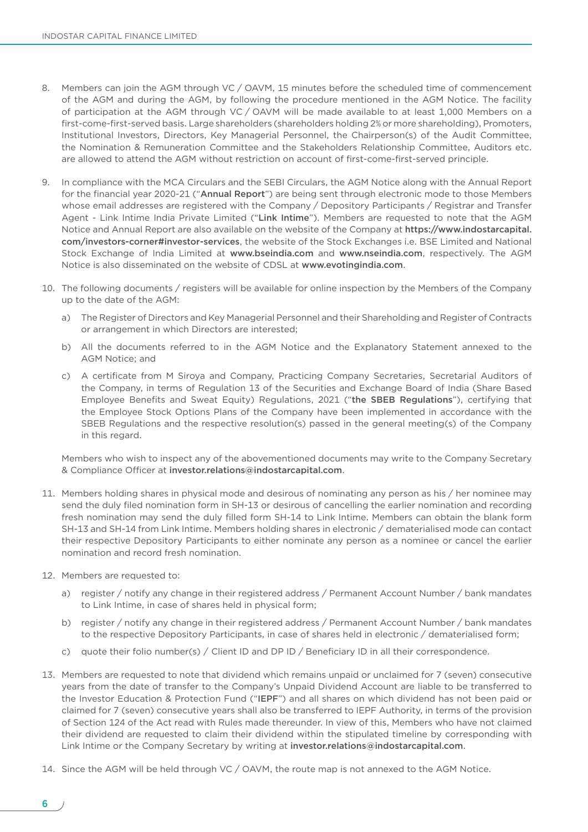- 8. Members can join the AGM through VC / OAVM, 15 minutes before the scheduled time of commencement of the AGM and during the AGM, by following the procedure mentioned in the AGM Notice. The facility of participation at the AGM through VC / OAVM will be made available to at least 1,000 Members on a first-come-first-served basis. Large shareholders (shareholders holding 2% or more shareholding), Promoters, Institutional Investors, Directors, Key Managerial Personnel, the Chairperson(s) of the Audit Committee, the Nomination & Remuneration Committee and the Stakeholders Relationship Committee, Auditors etc. are allowed to attend the AGM without restriction on account of first-come-first-served principle.
- 9. In compliance with the MCA Circulars and the SEBI Circulars, the AGM Notice along with the Annual Report for the financial year 2020-21 ("Annual Report") are being sent through electronic mode to those Members whose email addresses are registered with the Company / Depository Participants / Registrar and Transfer Agent - Link Intime India Private Limited ("Link Intime"). Members are requested to note that the AGM Notice and Annual Report are also available on the website of the Company at [https://www.indostarcapital.](https://www.indostarcapital.com/investors-corner#investor-services) [com/investors](https://www.indostarcapital.com/investors-corner#investor-services)-corner#investor-services, the website of the Stock Exchanges i.e. BSE Limited and National Stock Exchange of India Limited at <www.bseindia.com> and <www.nseindia.com>, respectively. The AGM Notice is also disseminated on the website of CDSL at <www.evotingindia.com>.
- 10. The following documents / registers will be available for online inspection by the Members of the Company up to the date of the AGM:
	- a) The Register of Directors and Key Managerial Personnel and their Shareholding and Register of Contracts or arrangement in which Directors are interested;
	- b) All the documents referred to in the AGM Notice and the Explanatory Statement annexed to the AGM Notice; and
	- c) A certificate from M Siroya and Company, Practicing Company Secretaries, Secretarial Auditors of the Company, in terms of Regulation 13 of the Securities and Exchange Board of India (Share Based Employee Benefits and Sweat Equity) Regulations, 2021 ("the SBEB Regulations"), certifying that the Employee Stock Options Plans of the Company have been implemented in accordance with the SBEB Regulations and the respective resolution(s) passed in the general meeting(s) of the Company in this regard.

 Members who wish to inspect any of the abovementioned documents may write to the Company Secretary & Compliance Officer at [investor.relations@indostarcapital.com](mailto:investor.relations@indostarcapital.com).

- 11. Members holding shares in physical mode and desirous of nominating any person as his / her nominee may send the duly filed nomination form in SH-13 or desirous of cancelling the earlier nomination and recording fresh nomination may send the duly filled form SH-14 to Link Intime. Members can obtain the blank form SH-13 and SH-14 from Link Intime. Members holding shares in electronic / dematerialised mode can contact their respective Depository Participants to either nominate any person as a nominee or cancel the earlier nomination and record fresh nomination.
- 12. Members are requested to:
	- a) register / notify any change in their registered address / Permanent Account Number / bank mandates to Link Intime, in case of shares held in physical form;
	- b) register / notify any change in their registered address / Permanent Account Number / bank mandates to the respective Depository Participants, in case of shares held in electronic / dematerialised form;
	- c) quote their folio number(s) / Client ID and DP ID / Beneficiary ID in all their correspondence.
- 13. Members are requested to note that dividend which remains unpaid or unclaimed for 7 (seven) consecutive years from the date of transfer to the Company's Unpaid Dividend Account are liable to be transferred to the Investor Education & Protection Fund ("IEPF") and all shares on which dividend has not been paid or claimed for 7 (seven) consecutive years shall also be transferred to IEPF Authority, in terms of the provision of Section 124 of the Act read with Rules made thereunder. In view of this, Members who have not claimed their dividend are requested to claim their dividend within the stipulated timeline by corresponding with Link Intime or the Company Secretary by writing at [investor.relations@indostarcapital.com](mailto:investor.relations@indostarcapital.com).
- 14. Since the AGM will be held through VC / OAVM, the route map is not annexed to the AGM Notice.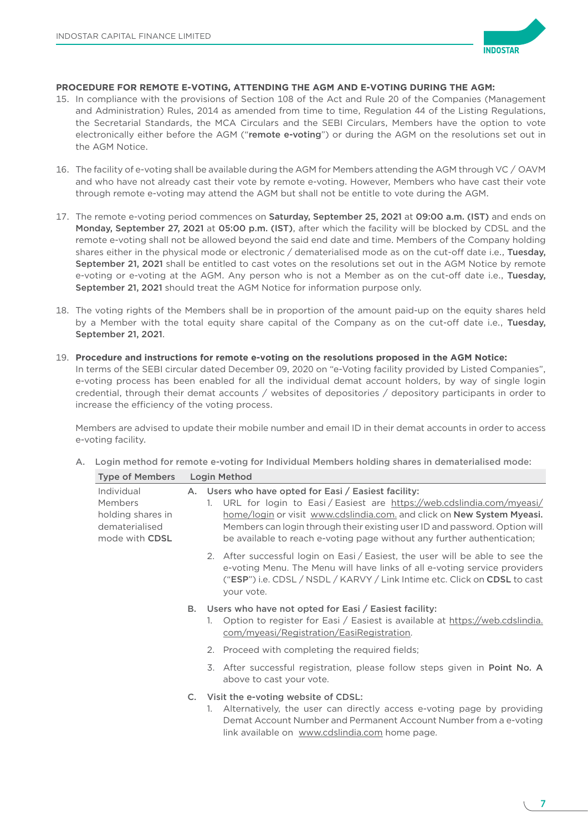

### **PROCEDURE FOR REMOTE E-VOTING, ATTENDING THE AGM AND E-VOTING DURING THE AGM:**

- 15. In compliance with the provisions of Section 108 of the Act and Rule 20 of the Companies (Management and Administration) Rules, 2014 as amended from time to time, Regulation 44 of the Listing Regulations, the Secretarial Standards, the MCA Circulars and the SEBI Circulars, Members have the option to vote electronically either before the AGM ("remote e-voting") or during the AGM on the resolutions set out in the AGM Notice.
- 16. The facility of e-voting shall be available during the AGM for Members attending the AGM through VC / OAVM and who have not already cast their vote by remote e-voting. However, Members who have cast their vote through remote e-voting may attend the AGM but shall not be entitle to vote during the AGM.
- 17. The remote e-voting period commences on Saturday, September 25, 2021 at 09:00 a.m. (IST) and ends on Monday, September 27, 2021 at 05:00 p.m. (IST), after which the facility will be blocked by CDSL and the remote e-voting shall not be allowed beyond the said end date and time. Members of the Company holding shares either in the physical mode or electronic / dematerialised mode as on the cut-off date i.e., Tuesday, September 21, 2021 shall be entitled to cast votes on the resolutions set out in the AGM Notice by remote e-voting or e-voting at the AGM. Any person who is not a Member as on the cut-off date i.e., Tuesday, September 21, 2021 should treat the AGM Notice for information purpose only.
- 18. The voting rights of the Members shall be in proportion of the amount paid-up on the equity shares held by a Member with the total equity share capital of the Company as on the cut-off date i.e., Tuesday, September 21, 2021.
- 19. **Procedure and instructions for remote e-voting on the resolutions proposed in the AGM Notice:** In terms of the SEBI circular dated December 09, 2020 on "e-Voting facility provided by Listed Companies", e-voting process has been enabled for all the individual demat account holders, by way of single login credential, through their demat accounts / websites of depositories / depository participants in order to increase the efficiency of the voting process.

 Members are advised to update their mobile number and email ID in their demat accounts in order to access e-voting facility.

|  |  |  |  |  | A. Login method for remote e-voting for Individual Members holding shares in dematerialised mode: |
|--|--|--|--|--|---------------------------------------------------------------------------------------------------|
|--|--|--|--|--|---------------------------------------------------------------------------------------------------|

| <b>Type of Members</b>                                                         |    | Login Method                                                                                                                                                                                                                                                                                                                                                           |
|--------------------------------------------------------------------------------|----|------------------------------------------------------------------------------------------------------------------------------------------------------------------------------------------------------------------------------------------------------------------------------------------------------------------------------------------------------------------------|
| Individual<br>Members<br>holding shares in<br>dematerialised<br>mode with CDSL |    | A. Users who have opted for Easi / Easiest facility:<br>URL for login to Easi / Easiest are https://web.cdslindia.com/myeasi/<br>1.<br>home/login or visit www.cdslindia.com. and click on New System Myeasi.<br>Members can login through their existing user ID and password. Option will<br>be available to reach e-voting page without any further authentication; |
|                                                                                |    | 2. After successful login on Easi / Easiest, the user will be able to see the<br>e-voting Menu. The Menu will have links of all e-voting service providers<br>("ESP") i.e. CDSL / NSDL / KARVY / Link Intime etc. Click on CDSL to cast<br>your vote.                                                                                                                  |
|                                                                                | В. | Users who have not opted for Easi / Easiest facility:<br>Option to register for Easi / Easiest is available at https://web.cdslindia.<br>1.<br>com/myeasi/Registration/EasiRegistration.                                                                                                                                                                               |
|                                                                                |    | 2. Proceed with completing the required fields;                                                                                                                                                                                                                                                                                                                        |
|                                                                                |    | 3. After successful registration, please follow steps given in <b>Point No. A</b><br>above to cast your vote.                                                                                                                                                                                                                                                          |
|                                                                                |    | C. Visit the e-voting website of CDSL:<br>Alternatively, the user can directly access e-voting page by providing<br>1.<br>Demat Account Number and Permanent Account Number from a e-voting<br>link available on www.cdslindia.com home page.                                                                                                                          |

7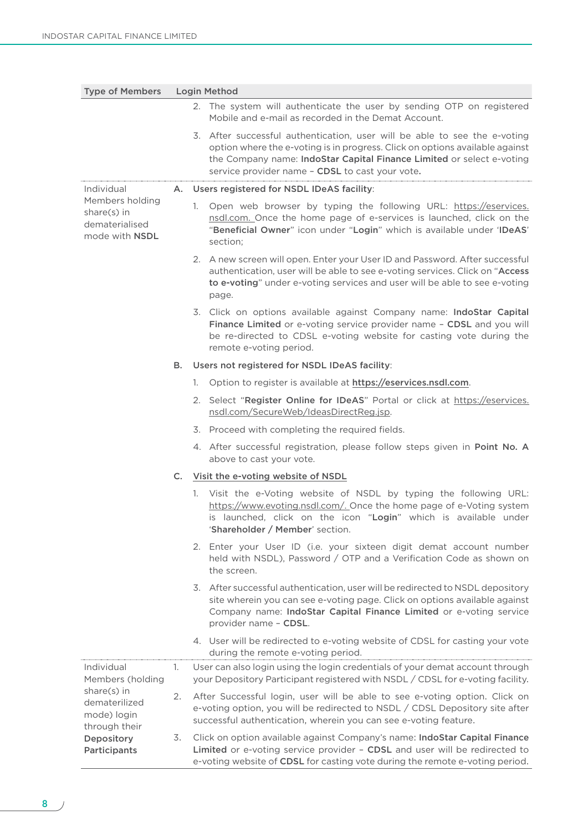| <b>Type of Members</b>                                                    | <b>Login Method</b> |                                                                                                                                                                                                                                                                                       |  |  |
|---------------------------------------------------------------------------|---------------------|---------------------------------------------------------------------------------------------------------------------------------------------------------------------------------------------------------------------------------------------------------------------------------------|--|--|
|                                                                           |                     | 2. The system will authenticate the user by sending OTP on registered<br>Mobile and e-mail as recorded in the Demat Account.                                                                                                                                                          |  |  |
|                                                                           |                     | 3. After successful authentication, user will be able to see the e-voting<br>option where the e-voting is in progress. Click on options available against<br>the Company name: IndoStar Capital Finance Limited or select e-voting<br>service provider name - CDSL to cast your vote. |  |  |
| Individual                                                                |                     | A. Users registered for NSDL IDeAS facility:                                                                                                                                                                                                                                          |  |  |
| Members holding<br>share(s) in<br>dematerialised<br>mode with <b>NSDL</b> |                     | Open web browser by typing the following URL: https://eservices.<br>1.<br>nsdl.com. Once the home page of e-services is launched, click on the<br>"Beneficial Owner" icon under "Login" which is available under 'IDeAS'<br>section;                                                  |  |  |
|                                                                           |                     | 2. A new screen will open. Enter your User ID and Password. After successful<br>authentication, user will be able to see e-voting services. Click on "Access<br>to e-voting" under e-voting services and user will be able to see e-voting<br>page.                                   |  |  |
|                                                                           |                     | 3. Click on options available against Company name: IndoStar Capital<br>Finance Limited or e-voting service provider name - CDSL and you will<br>be re-directed to CDSL e-voting website for casting vote during the<br>remote e-voting period.                                       |  |  |
|                                                                           | В.                  | Users not registered for NSDL IDeAS facility:                                                                                                                                                                                                                                         |  |  |
|                                                                           |                     | Option to register is available at https://eservices.nsdl.com.<br>1.                                                                                                                                                                                                                  |  |  |
|                                                                           |                     | 2. Select "Register Online for IDeAS" Portal or click at https://eservices.<br>nsdl.com/SecureWeb/IdeasDirectReg.jsp.                                                                                                                                                                 |  |  |
|                                                                           |                     | 3. Proceed with completing the required fields.                                                                                                                                                                                                                                       |  |  |
|                                                                           |                     | 4. After successful registration, please follow steps given in Point No. A<br>above to cast your vote.                                                                                                                                                                                |  |  |
|                                                                           |                     | C. Visit the e-voting website of NSDL                                                                                                                                                                                                                                                 |  |  |
|                                                                           |                     | 1. Visit the e-Voting website of NSDL by typing the following URL:<br>https://www.evoting.nsdl.com/. Once the home page of e-Voting system<br>is launched, click on the icon "Login" which is available under<br>'Shareholder / Member' section.                                      |  |  |
|                                                                           |                     | 2. Enter your User ID (i.e. your sixteen digit demat account number<br>held with NSDL), Password / OTP and a Verification Code as shown on<br>the screen.                                                                                                                             |  |  |
|                                                                           |                     | 3. After successful authentication, user will be redirected to NSDL depository<br>site wherein you can see e-voting page. Click on options available against<br>Company name: IndoStar Capital Finance Limited or e-voting service<br>provider name - CDSL.                           |  |  |
|                                                                           |                     | 4. User will be redirected to e-voting website of CDSL for casting your vote<br>during the remote e-voting period.                                                                                                                                                                    |  |  |
| Individual<br>Members (holding                                            | 1.                  | User can also login using the login credentials of your demat account through<br>your Depository Participant registered with NSDL / CDSL for e-voting facility.                                                                                                                       |  |  |
| share(s) in<br>dematerilized<br>mode) login<br>through their              | 2.                  | After Successful login, user will be able to see e-voting option. Click on<br>e-voting option, you will be redirected to NSDL / CDSL Depository site after<br>successful authentication, wherein you can see e-voting feature.                                                        |  |  |
| Depository<br>Participants                                                | 3.                  | Click on option available against Company's name: IndoStar Capital Finance<br>Limited or e-voting service provider - CDSL and user will be redirected to<br>e-voting website of CDSL for casting vote during the remote e-voting period.                                              |  |  |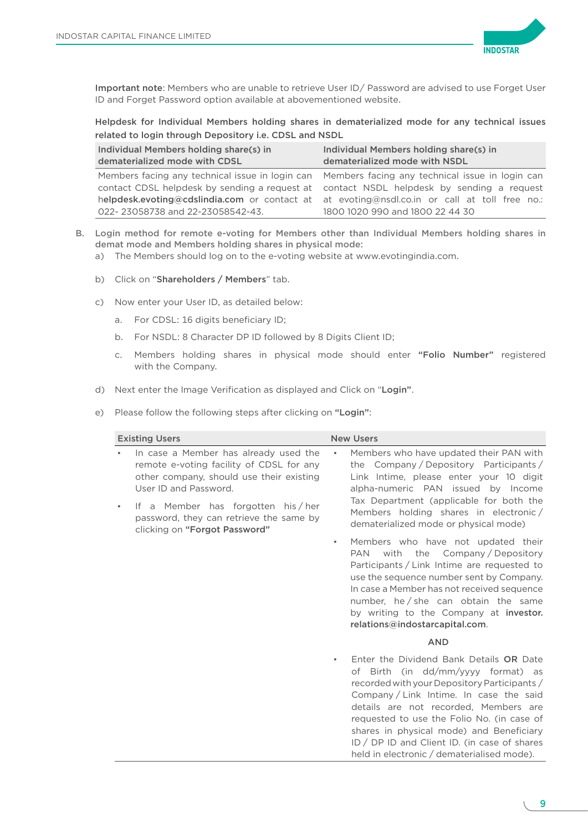

Important note: Members who are unable to retrieve User ID/ Password are advised to use Forget User ID and Forget Password option available at abovementioned website.

Helpdesk for Individual Members holding shares in dematerialized mode for any technical issues related to login through Depository i.e. CDSL and NSDL

| Individual Members holding share(s) in<br>dematerialized mode with CDSL | Individual Members holding share(s) in<br>dematerialized mode with NSDL                         |
|-------------------------------------------------------------------------|-------------------------------------------------------------------------------------------------|
|                                                                         | Members facing any technical issue in login can Members facing any technical issue in login can |
|                                                                         | contact CDSL helpdesk by sending a request at contact NSDL helpdesk by sending a request        |
|                                                                         | helpdesk.evoting@cdslindia.com or contact at at evoting@nsdl.co.in or call at toll free no.:    |
| 022-23058738 and 22-23058542-43.                                        | 1800 1020 990 and 1800 22 44 30                                                                 |

- B. Login method for remote e-voting for Members other than Individual Members holding shares in demat mode and Members holding shares in physical mode:
	- a) The Members should log on to the e-voting website at [www.evotingindia.com](http://www.evotingindia.com).
	- b) Click on "Shareholders / Members" tab.
	- c) Now enter your User ID, as detailed below:
		- a. For CDSL: 16 digits beneficiary ID;
		- b. For NSDL: 8 Character DP ID followed by 8 Digits Client ID;
		- c. Members holding shares in physical mode should enter "Folio Number" registered with the Company.
	- d) Next enter the Image Verification as displayed and Click on "Login".

e) Please follow the following steps after clicking on "Login":

| <b>Existing Users</b>                                                                                                                                                                                                                                                   | <b>New Users</b>                                                                                                                                                                                                                                                                                                                                                                                                     |
|-------------------------------------------------------------------------------------------------------------------------------------------------------------------------------------------------------------------------------------------------------------------------|----------------------------------------------------------------------------------------------------------------------------------------------------------------------------------------------------------------------------------------------------------------------------------------------------------------------------------------------------------------------------------------------------------------------|
| In case a Member has already used the<br>remote e-voting facility of CDSL for any<br>other company, should use their existing<br>User ID and Password.<br>If a Member has forgotten his/her<br>password, they can retrieve the same by<br>clicking on "Forgot Password" | Members who have updated their PAN with<br>$\bullet$<br>the Company/Depository Participants/<br>Link Intime, please enter your 10 digit<br>alpha-numeric PAN issued by Income<br>Tax Department (applicable for both the<br>Members holding shares in electronic/<br>dematerialized mode or physical mode)                                                                                                           |
|                                                                                                                                                                                                                                                                         | Members who have not updated their<br>$\bullet$<br>with<br>the Company / Depository<br>PAN<br>Participants / Link Intime are requested to<br>use the sequence number sent by Company.<br>In case a Member has not received sequence<br>number, he/she can obtain the same<br>by writing to the Company at investor.<br>relations@indostarcapital.com.                                                                |
|                                                                                                                                                                                                                                                                         | <b>AND</b>                                                                                                                                                                                                                                                                                                                                                                                                           |
|                                                                                                                                                                                                                                                                         | Enter the Dividend Bank Details OR Date<br>$\bullet$<br>of Birth (in dd/mm/yyyy format) as<br>recorded with your Depository Participants /<br>Company/Link Intime. In case the said<br>details are not recorded, Members are<br>requested to use the Folio No. (in case of<br>shares in physical mode) and Beneficiary<br>ID / DP ID and Client ID. (in case of shares<br>held in electronic / dematerialised mode). |

9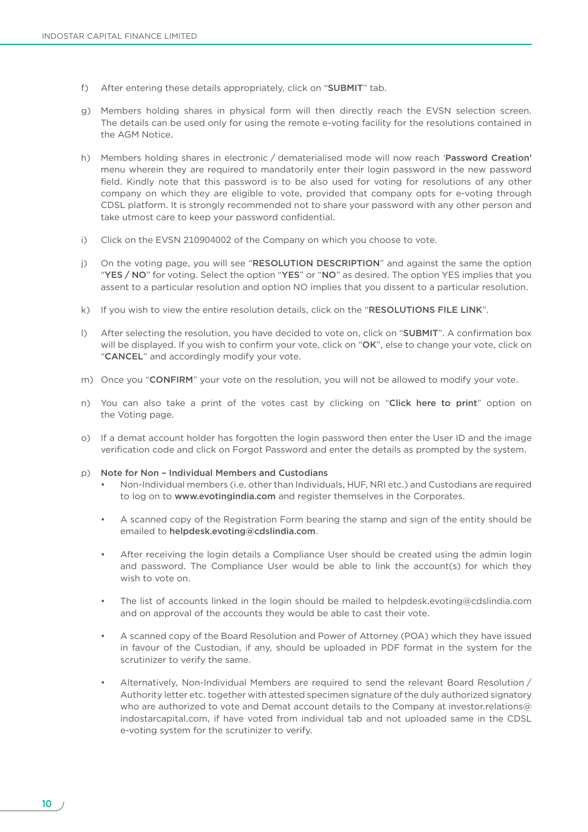- f) After entering these details appropriately, click on "SUBMIT" tab.
- g) Members holding shares in physical form will then directly reach the EVSN selection screen. The details can be used only for using the remote e-voting facility for the resolutions contained in the AGM Notice.
- h) Members holding shares in electronic / dematerialised mode will now reach 'Password Creation' menu wherein they are required to mandatorily enter their login password in the new password field. Kindly note that this password is to be also used for voting for resolutions of any other company on which they are eligible to vote, provided that company opts for e-voting through CDSL platform. It is strongly recommended not to share your password with any other person and take utmost care to keep your password confidential.
- i) Click on the EVSN 210904002 of the Company on which you choose to vote.
- j) On the voting page, you will see "RESOLUTION DESCRIPTION" and against the same the option "YES / NO" for voting. Select the option "YES" or "NO" as desired. The option YES implies that you assent to a particular resolution and option NO implies that you dissent to a particular resolution.
- k) If you wish to view the entire resolution details, click on the "RESOLUTIONS FILE LINK".
- l) After selecting the resolution, you have decided to vote on, click on "SUBMIT". A confirmation box will be displayed. If you wish to confirm your vote, click on "OK", else to change your vote, click on "CANCEL" and accordingly modify your vote.
- m) Once you "CONFIRM" your vote on the resolution, you will not be allowed to modify your vote.
- n) You can also take a print of the votes cast by clicking on "Click here to print" option on the Voting page.
- o) If a demat account holder has forgotten the login password then enter the User ID and the image verification code and click on Forgot Password and enter the details as prompted by the system.
- p) Note for Non Individual Members and Custodians
	- Non-Individual members (i.e. other than Individuals, HUF, NRI etc.) and Custodians are required to log on to [www.evotingindia.com](http://www.evotingindia.com) and register themselves in the Corporates.
	- A scanned copy of the Registration Form bearing the stamp and sign of the entity should be emailed to [helpdesk.evoting@cdslindia.com](mailto:helpdesk.evoting@cdslindia.com).
	- After receiving the login details a Compliance User should be created using the admin login and password. The Compliance User would be able to link the account(s) for which they wish to vote on.
	- The list of accounts linked in the login should be mailed to helpdesk.evoting@cdslindia.com and on approval of the accounts they would be able to cast their vote.
	- A scanned copy of the Board Resolution and Power of Attorney (POA) which they have issued in favour of the Custodian, if any, should be uploaded in PDF format in the system for the scrutinizer to verify the same.
	- Alternatively, Non-Individual Members are required to send the relevant Board Resolution / Authority letter etc. together with attested specimen signature of the duly authorized signatory who are authorized to vote and Demat account details to the Company at [investor.relations@](mailto:investor.relations@indostarcapital.com) [indostarcapital.com](mailto:investor.relations@indostarcapital.com), if have voted from individual tab and not uploaded same in the CDSL e-voting system for the scrutinizer to verify.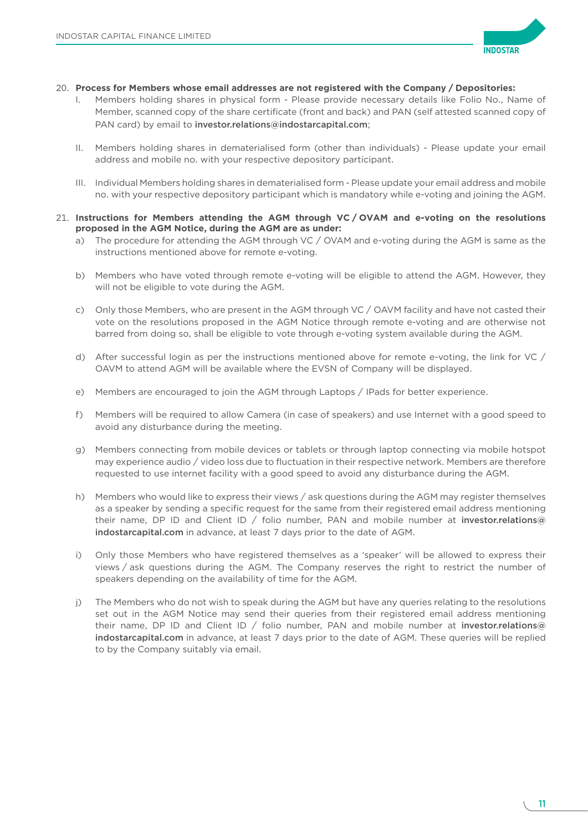

- 20. **Process for Members whose email addresses are not registered with the Company / Depositories:**
	- Members holding shares in physical form Please provide necessary details like Folio No., Name of Member, scanned copy of the share certificate (front and back) and PAN (self attested scanned copy of PAN card) by email to [investor.relations@indostarcapital.com](mailto:investor.relations@indostarcapital.com);
	- II. Members holding shares in dematerialised form (other than individuals) Please update your email address and mobile no. with your respective depository participant.
	- III. Individual Members holding shares in dematerialised form Please update your email address and mobile no. with your respective depository participant which is mandatory while e-voting and joining the AGM.
- 21. **Instructions for Members attending the AGM through VC / OVAM and e-voting on the resolutions proposed in the AGM Notice, during the AGM are as under:**
	- a) The procedure for attending the AGM through VC / OVAM and e-voting during the AGM is same as the instructions mentioned above for remote e-voting.
	- b) Members who have voted through remote e-voting will be eligible to attend the AGM. However, they will not be eligible to vote during the AGM.
	- c) Only those Members, who are present in the AGM through VC / OAVM facility and have not casted their vote on the resolutions proposed in the AGM Notice through remote e-voting and are otherwise not barred from doing so, shall be eligible to vote through e-voting system available during the AGM.
	- d) After successful login as per the instructions mentioned above for remote e-voting, the link for VC / OAVM to attend AGM will be available where the EVSN of Company will be displayed.
	- e) Members are encouraged to join the AGM through Laptops / IPads for better experience.
	- f) Members will be required to allow Camera (in case of speakers) and use Internet with a good speed to avoid any disturbance during the meeting.
	- g) Members connecting from mobile devices or tablets or through laptop connecting via mobile hotspot may experience audio / video loss due to fluctuation in their respective network. Members are therefore requested to use internet facility with a good speed to avoid any disturbance during the AGM.
	- h) Members who would like to express their views / ask questions during the AGM may register themselves as a speaker by sending a specific request for the same from their registered email address mentioning their name, DP ID and Client ID / folio number, PAN and mobile number at [investor.relations@](mailto:investor.relations@indostarcapital.com) [indostarcapital.com](mailto:investor.relations@indostarcapital.com) in advance, at least 7 days prior to the date of AGM.
	- i) Only those Members who have registered themselves as a 'speaker' will be allowed to express their views / ask questions during the AGM. The Company reserves the right to restrict the number of speakers depending on the availability of time for the AGM.
	- j) The Members who do not wish to speak during the AGM but have any queries relating to the resolutions set out in the AGM Notice may send their queries from their registered email address mentioning their name, DP ID and Client ID / folio number, PAN and mobile number at [investor.relations@](mailto:investor.relations@indostarcapital.com) [indostarcapital.com](mailto:investor.relations@indostarcapital.com) in advance, at least 7 days prior to the date of AGM. These queries will be replied to by the Company suitably via email.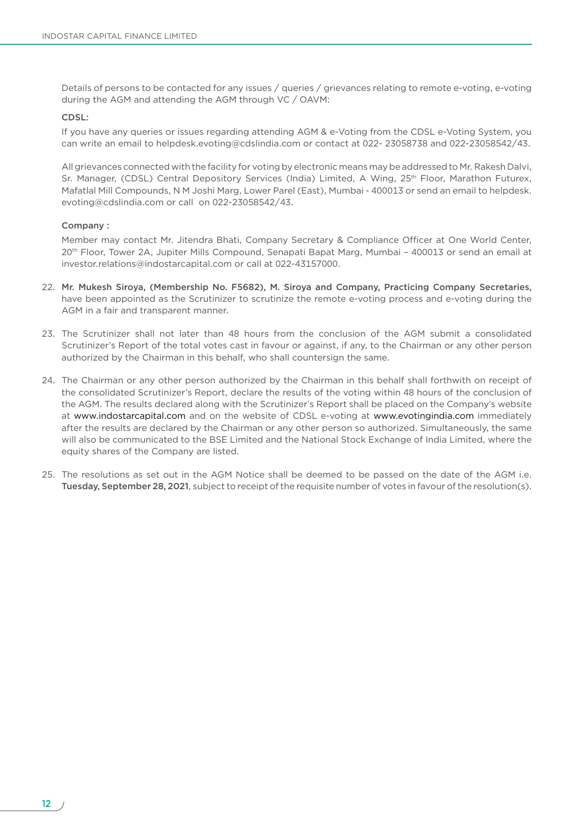Details of persons to be contacted for any issues / queries / grievances relating to remote e-voting, e-voting during the AGM and attending the AGM through VC / OAVM:

### CDSL:

 If you have any queries or issues regarding attending AGM & e-Voting from the CDSL e-Voting System, you can write an email to [helpdesk.evoting@cdslindia.com](mailto:helpdesk.evoting@cdslindia.com) or contact at 022- 23058738 and 022-23058542/43.

 All grievances connected with the facility for voting by electronic means may be addressed to Mr. Rakesh Dalvi, Sr. Manager, (CDSL) Central Depository Services (India) Limited, A Wing, 25<sup>th</sup> Floor, Marathon Futurex, Mafatlal Mill Compounds, N M Joshi Marg, Lower Parel (East), Mumbai - 400013 or send an email to [helpdesk.](mailto:helpdesk.evoting@cdslindia.com) [evoting@cdslindia.com](mailto:helpdesk.evoting@cdslindia.com) or call on 022-23058542/43.

#### Company :

 Member may contact Mr. Jitendra Bhati, Company Secretary & Compliance Officer at One World Center, 20th Floor, Tower 2A, Jupiter Mills Compound, Senapati Bapat Marg, Mumbai – 400013 or send an email at [investor.relations@indostarcapital.com](mailto:investor.relations@indostarcapital.com) or call at 022-43157000.

- 22. Mr. Mukesh Siroya, (Membership No. F5682), M. Siroya and Company, Practicing Company Secretaries, have been appointed as the Scrutinizer to scrutinize the remote e-voting process and e-voting during the AGM in a fair and transparent manner.
- 23. The Scrutinizer shall not later than 48 hours from the conclusion of the AGM submit a consolidated Scrutinizer's Report of the total votes cast in favour or against, if any, to the Chairman or any other person authorized by the Chairman in this behalf, who shall countersign the same.
- 24. The Chairman or any other person authorized by the Chairman in this behalf shall forthwith on receipt of the consolidated Scrutinizer's Report, declare the results of the voting within 48 hours of the conclusion of the AGM. The results declared along with the Scrutinizer's Report shall be placed on the Company's website at [www.indostarcapital.com](http://www.indostarcapital.com) and on the website of CDSL e-voting at [www.evotingindia.com](http://www.evotingindia.com) immediately after the results are declared by the Chairman or any other person so authorized. Simultaneously, the same will also be communicated to the BSE Limited and the National Stock Exchange of India Limited, where the equity shares of the Company are listed.
- 25. The resolutions as set out in the AGM Notice shall be deemed to be passed on the date of the AGM i.e. Tuesday, September 28, 2021, subject to receipt of the requisite number of votes in favour of the resolution(s).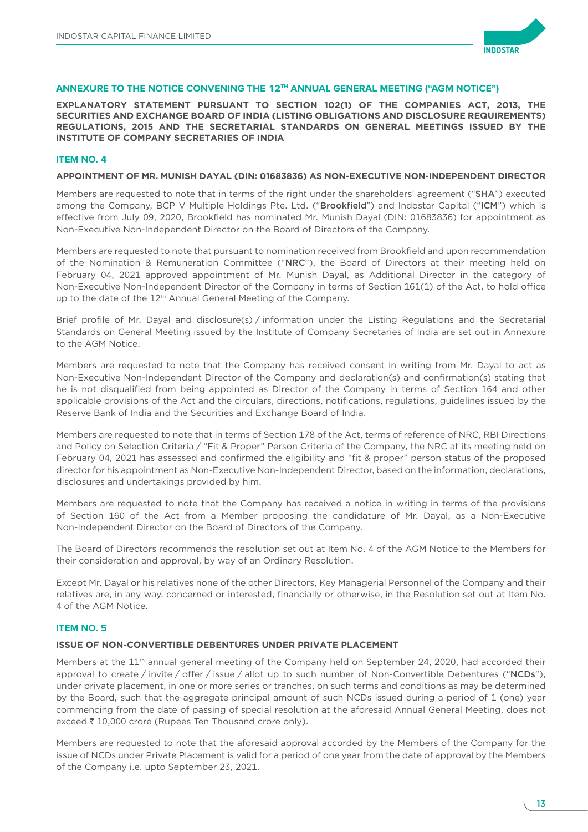

### **ANNEXURE TO THE NOTICE CONVENING THE 12TH ANNUAL GENERAL MEETING ("AGM NOTICE")**

**EXPLANATORY STATEMENT PURSUANT TO SECTION 102(1) OF THE COMPANIES ACT, 2013, THE SECURITIES AND EXCHANGE BOARD OF INDIA (LISTING OBLIGATIONS AND DISCLOSURE REQUIREMENTS) REGULATIONS, 2015 AND THE SECRETARIAL STANDARDS ON GENERAL MEETINGS ISSUED BY THE INSTITUTE OF COMPANY SECRETARIES OF INDIA**

### **ITEM NO. 4**

#### **APPOINTMENT OF MR. MUNISH DAYAL (DIN: 01683836) AS NON-EXECUTIVE NON-INDEPENDENT DIRECTOR**

Members are requested to note that in terms of the right under the shareholders' agreement ("SHA") executed among the Company, BCP V Multiple Holdings Pte. Ltd. ("Brookfield") and Indostar Capital ("ICM") which is effective from July 09, 2020, Brookfield has nominated Mr. Munish Dayal (DIN: 01683836) for appointment as Non-Executive Non-Independent Director on the Board of Directors of the Company.

Members are requested to note that pursuant to nomination received from Brookfield and upon recommendation of the Nomination & Remuneration Committee ("NRC"), the Board of Directors at their meeting held on February 04, 2021 approved appointment of Mr. Munish Dayal, as Additional Director in the category of Non-Executive Non-Independent Director of the Company in terms of Section 161(1) of the Act, to hold office up to the date of the 12<sup>th</sup> Annual General Meeting of the Company.

Brief profile of Mr. Dayal and disclosure(s) / information under the Listing Regulations and the Secretarial Standards on General Meeting issued by the Institute of Company Secretaries of India are set out in Annexure to the AGM Notice.

Members are requested to note that the Company has received consent in writing from Mr. Dayal to act as Non-Executive Non-Independent Director of the Company and declaration(s) and confirmation(s) stating that he is not disqualified from being appointed as Director of the Company in terms of Section 164 and other applicable provisions of the Act and the circulars, directions, notifications, regulations, guidelines issued by the Reserve Bank of India and the Securities and Exchange Board of India.

Members are requested to note that in terms of Section 178 of the Act, terms of reference of NRC, RBI Directions and Policy on Selection Criteria / "Fit & Proper" Person Criteria of the Company, the NRC at its meeting held on February 04, 2021 has assessed and confirmed the eligibility and "fit & proper" person status of the proposed director for his appointment as Non-Executive Non-Independent Director, based on the information, declarations, disclosures and undertakings provided by him.

Members are requested to note that the Company has received a notice in writing in terms of the provisions of Section 160 of the Act from a Member proposing the candidature of Mr. Dayal, as a Non-Executive Non-Independent Director on the Board of Directors of the Company.

The Board of Directors recommends the resolution set out at Item No. 4 of the AGM Notice to the Members for their consideration and approval, by way of an Ordinary Resolution.

Except Mr. Dayal or his relatives none of the other Directors, Key Managerial Personnel of the Company and their relatives are, in any way, concerned or interested, financially or otherwise, in the Resolution set out at Item No. 4 of the AGM Notice.

### **ITEM NO. 5**

### **ISSUE OF NON-CONVERTIBLE DEBENTURES UNDER PRIVATE PLACEMENT**

Members at the 11<sup>th</sup> annual general meeting of the Company held on September 24, 2020, had accorded their approval to create / invite / offer / issue / allot up to such number of Non-Convertible Debentures ("NCDs"), under private placement, in one or more series or tranches, on such terms and conditions as may be determined by the Board, such that the aggregate principal amount of such NCDs issued during a period of 1 (one) year commencing from the date of passing of special resolution at the aforesaid Annual General Meeting, does not exceed ₹ 10,000 crore (Rupees Ten Thousand crore only).

Members are requested to note that the aforesaid approval accorded by the Members of the Company for the issue of NCDs under Private Placement is valid for a period of one year from the date of approval by the Members of the Company i.e. upto September 23, 2021.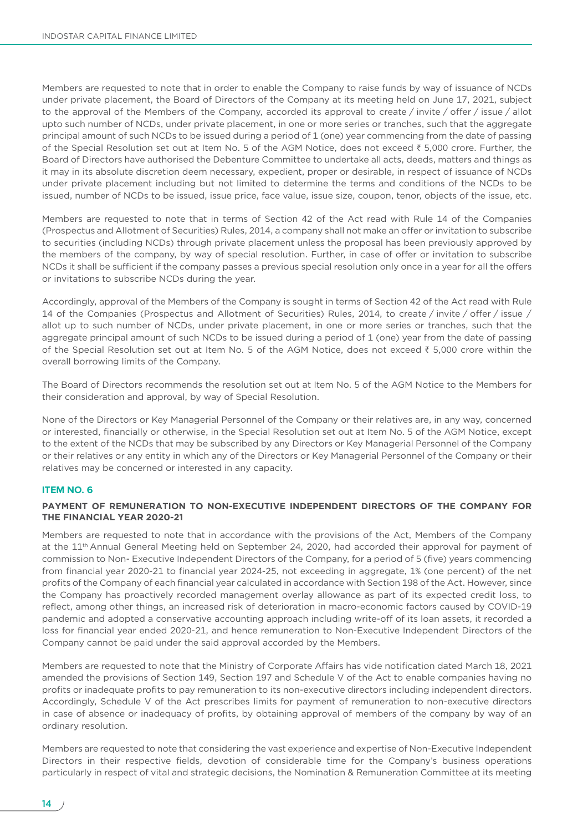Members are requested to note that in order to enable the Company to raise funds by way of issuance of NCDs under private placement, the Board of Directors of the Company at its meeting held on June 17, 2021, subject to the approval of the Members of the Company, accorded its approval to create / invite / offer / issue / allot upto such number of NCDs, under private placement, in one or more series or tranches, such that the aggregate principal amount of such NCDs to be issued during a period of 1 (one) year commencing from the date of passing of the Special Resolution set out at Item No. 5 of the AGM Notice, does not exceed ₹ 5,000 crore. Further, the Board of Directors have authorised the Debenture Committee to undertake all acts, deeds, matters and things as it may in its absolute discretion deem necessary, expedient, proper or desirable, in respect of issuance of NCDs under private placement including but not limited to determine the terms and conditions of the NCDs to be issued, number of NCDs to be issued, issue price, face value, issue size, coupon, tenor, objects of the issue, etc.

Members are requested to note that in terms of Section 42 of the Act read with Rule 14 of the Companies (Prospectus and Allotment of Securities) Rules, 2014, a company shall not make an offer or invitation to subscribe to securities (including NCDs) through private placement unless the proposal has been previously approved by the members of the company, by way of special resolution. Further, in case of offer or invitation to subscribe NCDs it shall be sufficient if the company passes a previous special resolution only once in a year for all the offers or invitations to subscribe NCDs during the year.

Accordingly, approval of the Members of the Company is sought in terms of Section 42 of the Act read with Rule 14 of the Companies (Prospectus and Allotment of Securities) Rules, 2014, to create / invite / offer / issue / allot up to such number of NCDs, under private placement, in one or more series or tranches, such that the aggregate principal amount of such NCDs to be issued during a period of 1 (one) year from the date of passing of the Special Resolution set out at Item No. 5 of the AGM Notice, does not exceed ` 5,000 crore within the overall borrowing limits of the Company.

The Board of Directors recommends the resolution set out at Item No. 5 of the AGM Notice to the Members for their consideration and approval, by way of Special Resolution.

None of the Directors or Key Managerial Personnel of the Company or their relatives are, in any way, concerned or interested, financially or otherwise, in the Special Resolution set out at Item No. 5 of the AGM Notice, except to the extent of the NCDs that may be subscribed by any Directors or Key Managerial Personnel of the Company or their relatives or any entity in which any of the Directors or Key Managerial Personnel of the Company or their relatives may be concerned or interested in any capacity.

### **ITEM NO. 6**

### **PAYMENT OF REMUNERATION TO NON-EXECUTIVE INDEPENDENT DIRECTORS OF THE COMPANY FOR THE FINANCIAL YEAR 2020-21**

Members are requested to note that in accordance with the provisions of the Act, Members of the Company at the 11<sup>th</sup> Annual General Meeting held on September 24, 2020, had accorded their approval for payment of commission to Non- Executive Independent Directors of the Company, for a period of 5 (five) years commencing from financial year 2020-21 to financial year 2024-25, not exceeding in aggregate, 1% (one percent) of the net profits of the Company of each financial year calculated in accordance with Section 198 of the Act. However, since the Company has proactively recorded management overlay allowance as part of its expected credit loss, to reflect, among other things, an increased risk of deterioration in macro-economic factors caused by COVID-19 pandemic and adopted a conservative accounting approach including write-off of its loan assets, it recorded a loss for financial year ended 2020-21, and hence remuneration to Non-Executive Independent Directors of the Company cannot be paid under the said approval accorded by the Members.

Members are requested to note that the Ministry of Corporate Affairs has vide notification dated March 18, 2021 amended the provisions of Section 149, Section 197 and Schedule V of the Act to enable companies having no profits or inadequate profits to pay remuneration to its non-executive directors including independent directors. Accordingly, Schedule V of the Act prescribes limits for payment of remuneration to non-executive directors in case of absence or inadequacy of profits, by obtaining approval of members of the company by way of an ordinary resolution.

Members are requested to note that considering the vast experience and expertise of Non-Executive Independent Directors in their respective fields, devotion of considerable time for the Company's business operations particularly in respect of vital and strategic decisions, the Nomination & Remuneration Committee at its meeting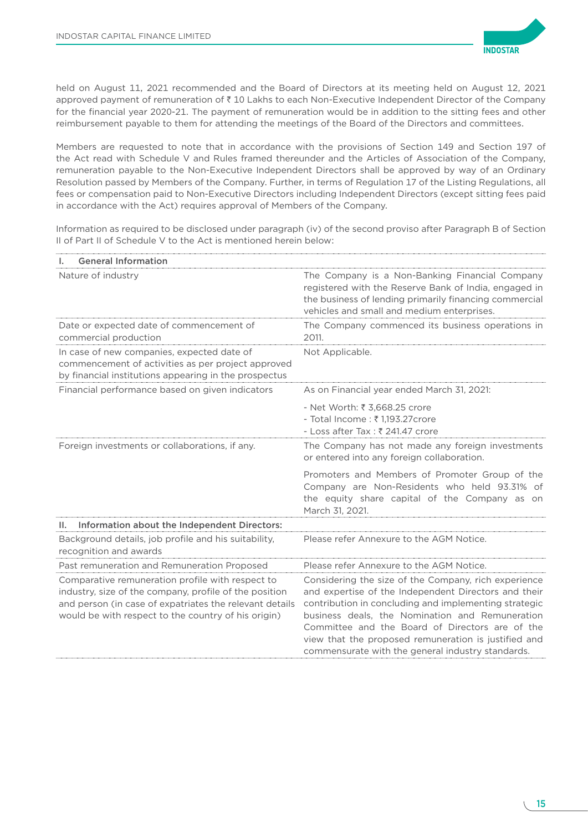

held on August 11, 2021 recommended and the Board of Directors at its meeting held on August 12, 2021 approved payment of remuneration of  $\bar{\tau}$  10 Lakhs to each Non-Executive Independent Director of the Company for the financial year 2020-21. The payment of remuneration would be in addition to the sitting fees and other reimbursement payable to them for attending the meetings of the Board of the Directors and committees.

Members are requested to note that in accordance with the provisions of Section 149 and Section 197 of the Act read with Schedule V and Rules framed thereunder and the Articles of Association of the Company, remuneration payable to the Non-Executive Independent Directors shall be approved by way of an Ordinary Resolution passed by Members of the Company. Further, in terms of Regulation 17 of the Listing Regulations, all fees or compensation paid to Non-Executive Directors including Independent Directors (except sitting fees paid in accordance with the Act) requires approval of Members of the Company.

Information as required to be disclosed under paragraph (iv) of the second proviso after Paragraph B of Section II of Part II of Schedule V to the Act is mentioned herein below:

| <b>General Information</b><br>I.                                                                                                                                                                                             |                                                                                                                                                                                                                                                                                                                                                                                          |
|------------------------------------------------------------------------------------------------------------------------------------------------------------------------------------------------------------------------------|------------------------------------------------------------------------------------------------------------------------------------------------------------------------------------------------------------------------------------------------------------------------------------------------------------------------------------------------------------------------------------------|
| Nature of industry                                                                                                                                                                                                           | The Company is a Non-Banking Financial Company<br>registered with the Reserve Bank of India, engaged in<br>the business of lending primarily financing commercial<br>vehicles and small and medium enterprises.                                                                                                                                                                          |
| Date or expected date of commencement of<br>commercial production                                                                                                                                                            | The Company commenced its business operations in<br>2011.                                                                                                                                                                                                                                                                                                                                |
| In case of new companies, expected date of<br>commencement of activities as per project approved<br>by financial institutions appearing in the prospectus                                                                    | Not Applicable.                                                                                                                                                                                                                                                                                                                                                                          |
| Financial performance based on given indicators                                                                                                                                                                              | As on Financial year ended March 31, 2021:                                                                                                                                                                                                                                                                                                                                               |
|                                                                                                                                                                                                                              | - Net Worth: ₹ 3,668.25 crore<br>- Total Income : ₹1,193.27 crore<br>- Loss after Tax : ₹ 241.47 crore                                                                                                                                                                                                                                                                                   |
| Foreign investments or collaborations, if any.                                                                                                                                                                               | The Company has not made any foreign investments<br>or entered into any foreign collaboration.                                                                                                                                                                                                                                                                                           |
|                                                                                                                                                                                                                              | Promoters and Members of Promoter Group of the<br>Company are Non-Residents who held 93.31% of<br>the equity share capital of the Company as on<br>March 31, 2021.                                                                                                                                                                                                                       |
| Information about the Independent Directors:<br>Ш.                                                                                                                                                                           |                                                                                                                                                                                                                                                                                                                                                                                          |
| Background details, job profile and his suitability,<br>recognition and awards                                                                                                                                               | Please refer Annexure to the AGM Notice.                                                                                                                                                                                                                                                                                                                                                 |
| Past remuneration and Remuneration Proposed                                                                                                                                                                                  | Please refer Annexure to the AGM Notice.                                                                                                                                                                                                                                                                                                                                                 |
| Comparative remuneration profile with respect to<br>industry, size of the company, profile of the position<br>and person (in case of expatriates the relevant details<br>would be with respect to the country of his origin) | Considering the size of the Company, rich experience<br>and expertise of the Independent Directors and their<br>contribution in concluding and implementing strategic<br>business deals, the Nomination and Remuneration<br>Committee and the Board of Directors are of the<br>view that the proposed remuneration is justified and<br>commensurate with the general industry standards. |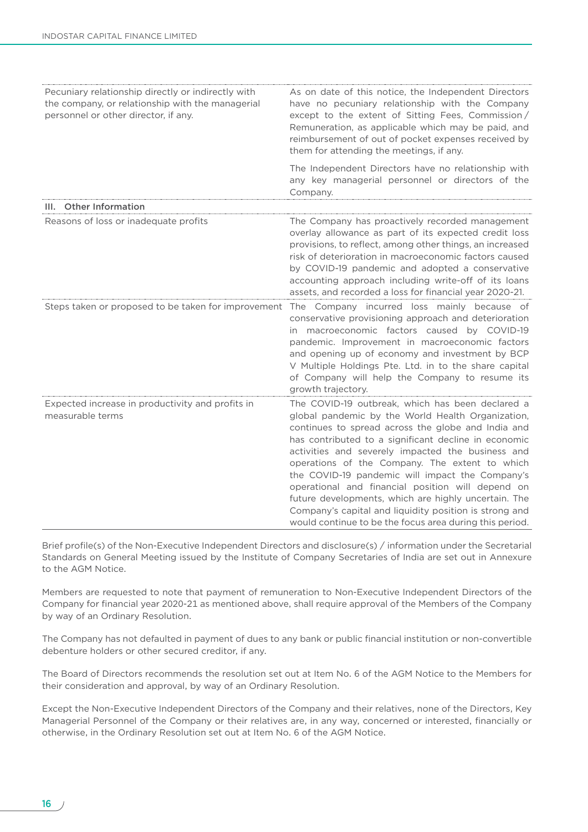| Pecuniary relationship directly or indirectly with<br>the company, or relationship with the managerial<br>personnel or other director, if any. | As on date of this notice, the Independent Directors<br>have no pecuniary relationship with the Company<br>except to the extent of Sitting Fees, Commission/<br>Remuneration, as applicable which may be paid, and<br>reimbursement of out of pocket expenses received by<br>them for attending the meetings, if any.                                                                                                                                                                                                                                                                                           |
|------------------------------------------------------------------------------------------------------------------------------------------------|-----------------------------------------------------------------------------------------------------------------------------------------------------------------------------------------------------------------------------------------------------------------------------------------------------------------------------------------------------------------------------------------------------------------------------------------------------------------------------------------------------------------------------------------------------------------------------------------------------------------|
|                                                                                                                                                | The Independent Directors have no relationship with<br>any key managerial personnel or directors of the<br>Company.                                                                                                                                                                                                                                                                                                                                                                                                                                                                                             |
| <b>Other Information</b><br>III.                                                                                                               |                                                                                                                                                                                                                                                                                                                                                                                                                                                                                                                                                                                                                 |
| Reasons of loss or inadequate profits                                                                                                          | The Company has proactively recorded management<br>overlay allowance as part of its expected credit loss<br>provisions, to reflect, among other things, an increased<br>risk of deterioration in macroeconomic factors caused<br>by COVID-19 pandemic and adopted a conservative<br>accounting approach including write-off of its loans<br>assets, and recorded a loss for financial year 2020-21.                                                                                                                                                                                                             |
| Steps taken or proposed to be taken for improvement                                                                                            | The Company incurred loss mainly because of<br>conservative provisioning approach and deterioration<br>in macroeconomic factors caused by COVID-19<br>pandemic. Improvement in macroeconomic factors<br>and opening up of economy and investment by BCP<br>V Multiple Holdings Pte. Ltd. in to the share capital<br>of Company will help the Company to resume its<br>growth trajectory.                                                                                                                                                                                                                        |
| Expected increase in productivity and profits in<br>measurable terms                                                                           | The COVID-19 outbreak, which has been declared a<br>global pandemic by the World Health Organization,<br>continues to spread across the globe and India and<br>has contributed to a significant decline in economic<br>activities and severely impacted the business and<br>operations of the Company. The extent to which<br>the COVID-19 pandemic will impact the Company's<br>operational and financial position will depend on<br>future developments, which are highly uncertain. The<br>Company's capital and liquidity position is strong and<br>would continue to be the focus area during this period. |

Brief profile(s) of the Non-Executive Independent Directors and disclosure(s) / information under the Secretarial Standards on General Meeting issued by the Institute of Company Secretaries of India are set out in Annexure to the AGM Notice.

Members are requested to note that payment of remuneration to Non-Executive Independent Directors of the Company for financial year 2020-21 as mentioned above, shall require approval of the Members of the Company by way of an Ordinary Resolution.

The Company has not defaulted in payment of dues to any bank or public financial institution or non-convertible debenture holders or other secured creditor, if any.

The Board of Directors recommends the resolution set out at Item No. 6 of the AGM Notice to the Members for their consideration and approval, by way of an Ordinary Resolution.

Except the Non-Executive Independent Directors of the Company and their relatives, none of the Directors, Key Managerial Personnel of the Company or their relatives are, in any way, concerned or interested, financially or otherwise, in the Ordinary Resolution set out at Item No. 6 of the AGM Notice.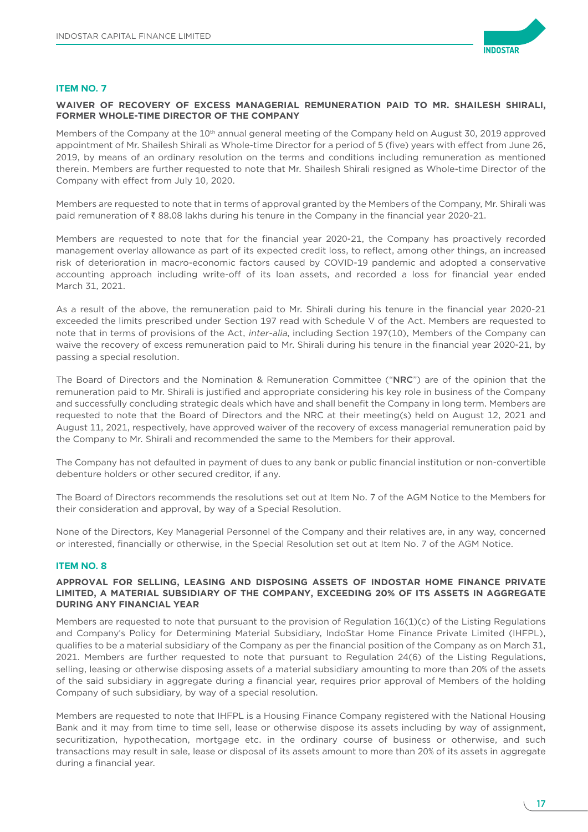

# **ITEM NO. 7**

# **WAIVER OF RECOVERY OF EXCESS MANAGERIAL REMUNERATION PAID TO MR. SHAILESH SHIRALI, FORMER WHOLE-TIME DIRECTOR OF THE COMPANY**

Members of the Company at the 10<sup>th</sup> annual general meeting of the Company held on August 30, 2019 approved appointment of Mr. Shailesh Shirali as Whole-time Director for a period of 5 (five) years with effect from June 26, 2019, by means of an ordinary resolution on the terms and conditions including remuneration as mentioned therein. Members are further requested to note that Mr. Shailesh Shirali resigned as Whole-time Director of the Company with effect from July 10, 2020.

Members are requested to note that in terms of approval granted by the Members of the Company, Mr. Shirali was paid remuneration of  $\bar{\tau}$  88.08 lakhs during his tenure in the Company in the financial year 2020-21.

Members are requested to note that for the financial year 2020-21, the Company has proactively recorded management overlay allowance as part of its expected credit loss, to reflect, among other things, an increased risk of deterioration in macro-economic factors caused by COVID-19 pandemic and adopted a conservative accounting approach including write-off of its loan assets, and recorded a loss for financial year ended March 31, 2021.

As a result of the above, the remuneration paid to Mr. Shirali during his tenure in the financial year 2020-21 exceeded the limits prescribed under Section 197 read with Schedule V of the Act. Members are requested to note that in terms of provisions of the Act, inter-alia, including Section 197(10), Members of the Company can waive the recovery of excess remuneration paid to Mr. Shirali during his tenure in the financial year 2020-21, by passing a special resolution.

The Board of Directors and the Nomination & Remuneration Committee ("NRC") are of the opinion that the remuneration paid to Mr. Shirali is justified and appropriate considering his key role in business of the Company and successfully concluding strategic deals which have and shall benefit the Company in long term. Members are requested to note that the Board of Directors and the NRC at their meeting(s) held on August 12, 2021 and August 11, 2021, respectively, have approved waiver of the recovery of excess managerial remuneration paid by the Company to Mr. Shirali and recommended the same to the Members for their approval.

The Company has not defaulted in payment of dues to any bank or public financial institution or non-convertible debenture holders or other secured creditor, if any.

The Board of Directors recommends the resolutions set out at Item No. 7 of the AGM Notice to the Members for their consideration and approval, by way of a Special Resolution.

None of the Directors, Key Managerial Personnel of the Company and their relatives are, in any way, concerned or interested, financially or otherwise, in the Special Resolution set out at Item No. 7 of the AGM Notice.

### **ITEM NO. 8**

### **APPROVAL FOR SELLING, LEASING AND DISPOSING ASSETS OF INDOSTAR HOME FINANCE PRIVATE LIMITED, A MATERIAL SUBSIDIARY OF THE COMPANY, EXCEEDING 20% OF ITS ASSETS IN AGGREGATE DURING ANY FINANCIAL YEAR**

Members are requested to note that pursuant to the provision of Regulation 16(1)(c) of the Listing Regulations and Company's Policy for Determining Material Subsidiary, IndoStar Home Finance Private Limited (IHFPL), qualifies to be a material subsidiary of the Company as per the financial position of the Company as on March 31, 2021. Members are further requested to note that pursuant to Regulation 24(6) of the Listing Regulations, selling, leasing or otherwise disposing assets of a material subsidiary amounting to more than 20% of the assets of the said subsidiary in aggregate during a financial year, requires prior approval of Members of the holding Company of such subsidiary, by way of a special resolution.

Members are requested to note that IHFPL is a Housing Finance Company registered with the National Housing Bank and it may from time to time sell, lease or otherwise dispose its assets including by way of assignment, securitization, hypothecation, mortgage etc. in the ordinary course of business or otherwise, and such transactions may result in sale, lease or disposal of its assets amount to more than 20% of its assets in aggregate during a financial year.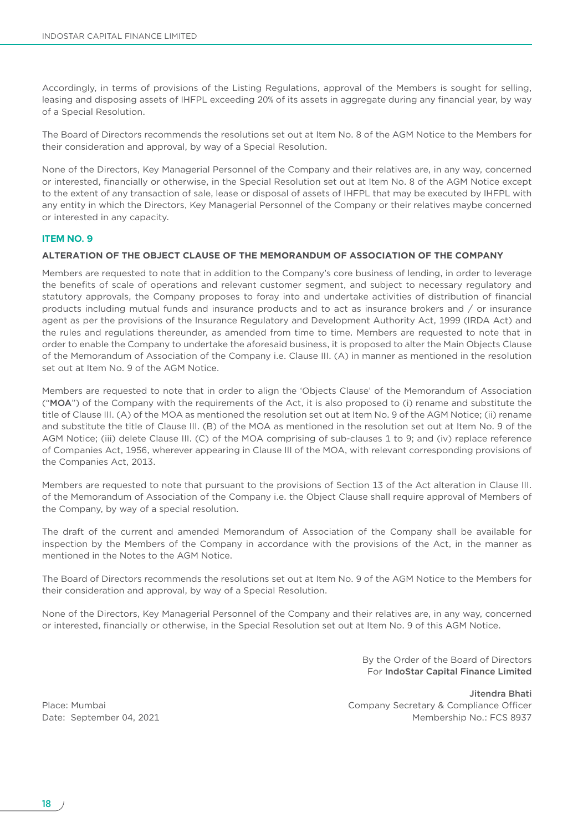Accordingly, in terms of provisions of the Listing Regulations, approval of the Members is sought for selling, leasing and disposing assets of IHFPL exceeding 20% of its assets in aggregate during any financial year, by way of a Special Resolution.

The Board of Directors recommends the resolutions set out at Item No. 8 of the AGM Notice to the Members for their consideration and approval, by way of a Special Resolution.

None of the Directors, Key Managerial Personnel of the Company and their relatives are, in any way, concerned or interested, financially or otherwise, in the Special Resolution set out at Item No. 8 of the AGM Notice except to the extent of any transaction of sale, lease or disposal of assets of IHFPL that may be executed by IHFPL with any entity in which the Directors, Key Managerial Personnel of the Company or their relatives maybe concerned or interested in any capacity.

### **ITEM NO. 9**

## **ALTERATION OF THE OBJECT CLAUSE OF THE MEMORANDUM OF ASSOCIATION OF THE COMPANY**

Members are requested to note that in addition to the Company's core business of lending, in order to leverage the benefits of scale of operations and relevant customer segment, and subject to necessary regulatory and statutory approvals, the Company proposes to foray into and undertake activities of distribution of financial products including mutual funds and insurance products and to act as insurance brokers and / or insurance agent as per the provisions of the Insurance Regulatory and Development Authority Act, 1999 (IRDA Act) and the rules and regulations thereunder, as amended from time to time. Members are requested to note that in order to enable the Company to undertake the aforesaid business, it is proposed to alter the Main Objects Clause of the Memorandum of Association of the Company i.e. Clause III. (A) in manner as mentioned in the resolution set out at Item No. 9 of the AGM Notice.

Members are requested to note that in order to align the 'Objects Clause' of the Memorandum of Association ("MOA") of the Company with the requirements of the Act, it is also proposed to (i) rename and substitute the title of Clause III. (A) of the MOA as mentioned the resolution set out at Item No. 9 of the AGM Notice; (ii) rename and substitute the title of Clause III. (B) of the MOA as mentioned in the resolution set out at Item No. 9 of the AGM Notice; (iii) delete Clause III. (C) of the MOA comprising of sub-clauses 1 to 9; and (iv) replace reference of Companies Act, 1956, wherever appearing in Clause III of the MOA, with relevant corresponding provisions of the Companies Act, 2013.

Members are requested to note that pursuant to the provisions of Section 13 of the Act alteration in Clause III. of the Memorandum of Association of the Company i.e. the Object Clause shall require approval of Members of the Company, by way of a special resolution.

The draft of the current and amended Memorandum of Association of the Company shall be available for inspection by the Members of the Company in accordance with the provisions of the Act, in the manner as mentioned in the Notes to the AGM Notice.

The Board of Directors recommends the resolutions set out at Item No. 9 of the AGM Notice to the Members for their consideration and approval, by way of a Special Resolution.

None of the Directors, Key Managerial Personnel of the Company and their relatives are, in any way, concerned or interested, financially or otherwise, in the Special Resolution set out at Item No. 9 of this AGM Notice.

> By the Order of the Board of Directors For IndoStar Capital Finance Limited

Jitendra Bhati Place: Mumbai Company Secretary & Compliance Officer Date: September 04, 2021 **Membership No.: FCS 8937**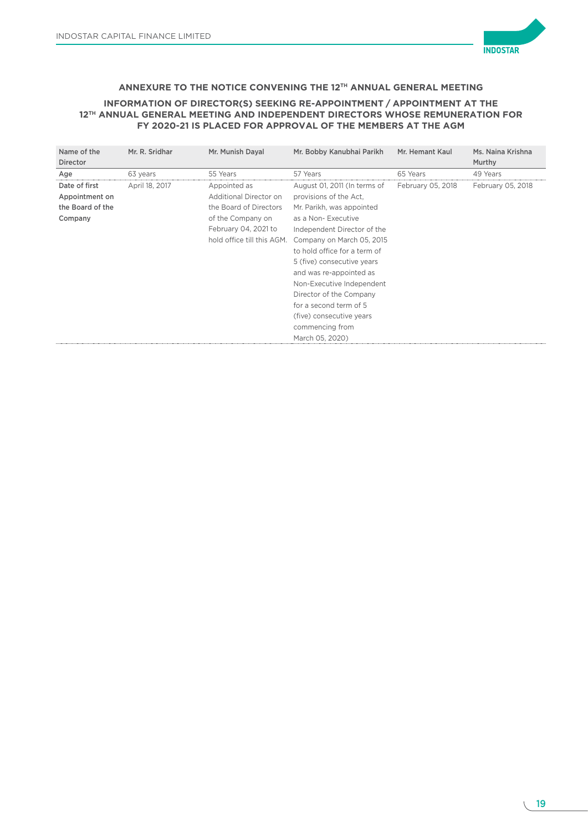

# **ANNEXURE TO THE NOTICE CONVENING THE 12TH ANNUAL GENERAL MEETING**

# **INFORMATION OF DIRECTOR(S) SEEKING RE-APPOINTMENT / APPOINTMENT AT THE 12TH ANNUAL GENERAL MEETING AND INDEPENDENT DIRECTORS WHOSE REMUNERATION FOR FY 2020-21 IS PLACED FOR APPROVAL OF THE MEMBERS AT THE AGM**

| Name of the      | Mr. R. Sridhar | Mr. Munish Dayal           | Mr. Bobby Kanubhai Parikh    | Mr. Hemant Kaul   | Ms. Naina Krishna |
|------------------|----------------|----------------------------|------------------------------|-------------------|-------------------|
| <b>Director</b>  |                |                            |                              |                   | Murthy            |
| Age              | 63 years       | 55 Years                   | 57 Years                     | 65 Years          | 49 Years          |
| Date of first    | April 18, 2017 | Appointed as               | August 01, 2011 (In terms of | February 05, 2018 | February 05, 2018 |
| Appointment on   |                | Additional Director on     | provisions of the Act.       |                   |                   |
| the Board of the |                | the Board of Directors     | Mr. Parikh, was appointed    |                   |                   |
| Company          |                | of the Company on          | as a Non-Executive           |                   |                   |
|                  |                | February 04, 2021 to       | Independent Director of the  |                   |                   |
|                  |                | hold office till this AGM. | Company on March 05, 2015    |                   |                   |
|                  |                |                            | to hold office for a term of |                   |                   |
|                  |                |                            | 5 (five) consecutive years   |                   |                   |
|                  |                |                            | and was re-appointed as      |                   |                   |
|                  |                |                            | Non-Executive Independent    |                   |                   |
|                  |                |                            | Director of the Company      |                   |                   |
|                  |                |                            | for a second term of 5       |                   |                   |
|                  |                |                            | (five) consecutive years     |                   |                   |
|                  |                |                            | commencing from              |                   |                   |
|                  |                |                            | March 05, 2020)              |                   |                   |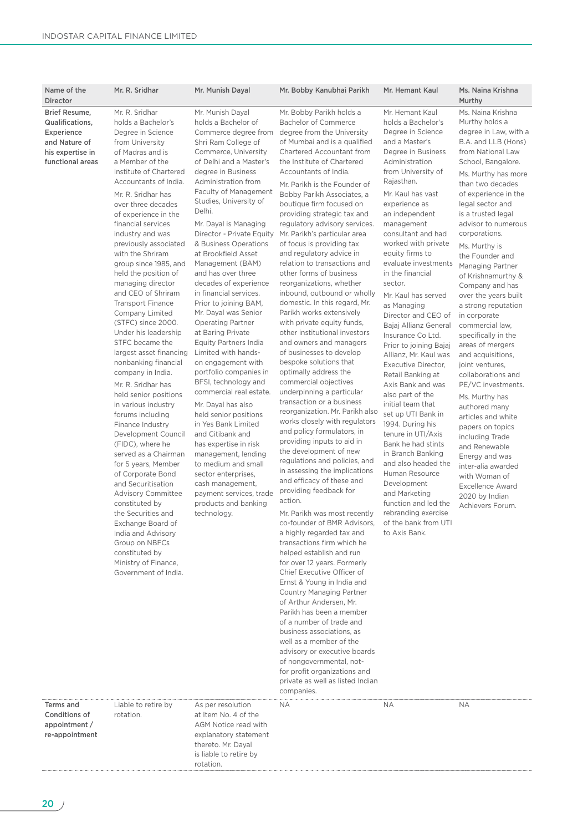| Name of the<br>Director                                                                                 | Mr. R. Sridhar                                                                                                                                                                                                                                                                                                                                                                                                                                                                                                                                                                                                                                                                                                                                                                                                                                                                                                                                                                                                                                                               | Mr. Munish Dayal                                                                                                                                                                                                                                                                                                                                                                                                                                                                                                                                                                                                                                                                                                                                                                                                                                                                                                                                                                                 | Mr. Bobby Kanubhai Parikh                                                                                                                                                                                                                                                                                                                                                                                                                                                                                                                                                                                                                                                                                                                                                                                                                                                                                                                                                                                                                                                                                                                                                                                                                                                                                                                                                                                                                                                                                                                                                                                                                                                                                                                                                       | Mr. Hemant Kaul                                                                                                                                                                                                                                                                                                                                                                                                                                                                                                                                                                                                                                                                                                                                                                                                                                                                                           | Ms. Naina Krishna<br>Murthy                                                                                                                                                                                                                                                                                                                                                                                                                                                                                                                                                                                                                                                                                                                                                                                                                      |
|---------------------------------------------------------------------------------------------------------|------------------------------------------------------------------------------------------------------------------------------------------------------------------------------------------------------------------------------------------------------------------------------------------------------------------------------------------------------------------------------------------------------------------------------------------------------------------------------------------------------------------------------------------------------------------------------------------------------------------------------------------------------------------------------------------------------------------------------------------------------------------------------------------------------------------------------------------------------------------------------------------------------------------------------------------------------------------------------------------------------------------------------------------------------------------------------|--------------------------------------------------------------------------------------------------------------------------------------------------------------------------------------------------------------------------------------------------------------------------------------------------------------------------------------------------------------------------------------------------------------------------------------------------------------------------------------------------------------------------------------------------------------------------------------------------------------------------------------------------------------------------------------------------------------------------------------------------------------------------------------------------------------------------------------------------------------------------------------------------------------------------------------------------------------------------------------------------|---------------------------------------------------------------------------------------------------------------------------------------------------------------------------------------------------------------------------------------------------------------------------------------------------------------------------------------------------------------------------------------------------------------------------------------------------------------------------------------------------------------------------------------------------------------------------------------------------------------------------------------------------------------------------------------------------------------------------------------------------------------------------------------------------------------------------------------------------------------------------------------------------------------------------------------------------------------------------------------------------------------------------------------------------------------------------------------------------------------------------------------------------------------------------------------------------------------------------------------------------------------------------------------------------------------------------------------------------------------------------------------------------------------------------------------------------------------------------------------------------------------------------------------------------------------------------------------------------------------------------------------------------------------------------------------------------------------------------------------------------------------------------------|-----------------------------------------------------------------------------------------------------------------------------------------------------------------------------------------------------------------------------------------------------------------------------------------------------------------------------------------------------------------------------------------------------------------------------------------------------------------------------------------------------------------------------------------------------------------------------------------------------------------------------------------------------------------------------------------------------------------------------------------------------------------------------------------------------------------------------------------------------------------------------------------------------------|--------------------------------------------------------------------------------------------------------------------------------------------------------------------------------------------------------------------------------------------------------------------------------------------------------------------------------------------------------------------------------------------------------------------------------------------------------------------------------------------------------------------------------------------------------------------------------------------------------------------------------------------------------------------------------------------------------------------------------------------------------------------------------------------------------------------------------------------------|
| Brief Resume,<br>Qualifications,<br>Experience<br>and Nature of<br>his expertise in<br>functional areas | Mr. R. Sridhar<br>holds a Bachelor's<br>Degree in Science<br>from University<br>of Madras and is<br>a Member of the<br>Institute of Chartered<br>Accountants of India.<br>Mr. R. Sridhar has<br>over three decades<br>of experience in the<br>financial services<br>industry and was<br>previously associated<br>with the Shriram<br>group since 1985, and<br>held the position of<br>managing director<br>and CEO of Shriram<br><b>Transport Finance</b><br>Company Limited<br>(STFC) since 2000.<br>Under his leadership<br>STFC became the<br>largest asset financing<br>nonbanking financial<br>company in India.<br>Mr. R. Sridhar has<br>held senior positions<br>in various industry<br>forums including<br>Finance Industry<br>Development Council<br>(FIDC), where he<br>served as a Chairman<br>for 5 years, Member<br>of Corporate Bond<br>and Securitisation<br><b>Advisory Committee</b><br>constituted by<br>the Securities and<br>Exchange Board of<br>India and Advisory<br>Group on NBFCs<br>constituted by<br>Ministry of Finance,<br>Government of India. | Mr. Munish Dayal<br>holds a Bachelor of<br>Commerce degree from<br>Shri Ram College of<br>Commerce, University<br>of Delhi and a Master's<br>degree in Business<br>Administration from<br>Faculty of Management<br>Studies, University of<br>Delhi.<br>Mr. Dayal is Managing<br>Director - Private Equity<br>& Business Operations<br>at Brookfield Asset<br>Management (BAM)<br>and has over three<br>decades of experience<br>in financial services.<br>Prior to joining BAM,<br>Mr. Dayal was Senior<br><b>Operating Partner</b><br>at Baring Private<br><b>Equity Partners India</b><br>Limited with hands-<br>on engagement with<br>portfolio companies in<br>BFSI, technology and<br>commercial real estate.<br>Mr. Dayal has also<br>held senior positions<br>in Yes Bank Limited<br>and Citibank and<br>has expertise in risk<br>management, lending<br>to medium and small<br>sector enterprises,<br>cash management,<br>payment services, trade<br>products and banking<br>technology. | Mr. Bobby Parikh holds a<br><b>Bachelor of Commerce</b><br>degree from the University<br>of Mumbai and is a qualified<br>Chartered Accountant from<br>the Institute of Chartered<br>Accountants of India.<br>Mr. Parikh is the Founder of<br>Bobby Parikh Associates, a<br>boutique firm focused on<br>providing strategic tax and<br>regulatory advisory services.<br>Mr. Parikh's particular area<br>of focus is providing tax<br>and regulatory advice in<br>relation to transactions and<br>other forms of business<br>reorganizations, whether<br>inbound, outbound or wholly<br>domestic. In this regard, Mr.<br>Parikh works extensively<br>with private equity funds,<br>other institutional investors<br>and owners and managers<br>of businesses to develop<br>bespoke solutions that<br>optimally address the<br>commercial objectives<br>underpinning a particular<br>transaction or a business<br>reorganization. Mr. Parikh also<br>works closely with regulators<br>and policy formulators, in<br>providing inputs to aid in<br>the development of new<br>regulations and policies, and<br>in assessing the implications<br>and efficacy of these and<br>providing feedback for<br>action.<br>Mr. Parikh was most recently<br>co-founder of BMR Advisors,<br>a highly regarded tax and<br>transactions firm which he<br>helped establish and run<br>for over 12 years. Formerly<br>Chief Executive Officer of<br>Ernst & Young in India and<br>Country Managing Partner<br>of Arthur Andersen, Mr.<br>Parikh has been a member<br>of a number of trade and<br>business associations, as<br>well as a member of the<br>advisory or executive boards<br>of nongovernmental, not-<br>for profit organizations and<br>private as well as listed Indian<br>companies. | Mr. Hemant Kaul<br>holds a Bachelor's<br>Degree in Science<br>and a Master's<br>Degree in Business<br>Administration<br>from University of<br>Rajasthan.<br>Mr. Kaul has vast<br>experience as<br>an independent<br>management<br>consultant and had<br>worked with private<br>equity firms to<br>evaluate investments<br>in the financial<br>sector.<br>Mr. Kaul has served<br>as Managing<br>Director and CEO of<br>Bajaj Allianz General<br>Insurance Co Ltd.<br>Prior to joining Bajaj<br>Allianz, Mr. Kaul was<br>Executive Director,<br>Retail Banking at<br>Axis Bank and was<br>also part of the<br>initial team that<br>set up UTI Bank in<br>1994. During his<br>tenure in UTI/Axis<br>Bank he had stints<br>in Branch Banking<br>and also headed the<br>Human Resource<br>Development<br>and Marketing<br>function and led the<br>rebranding exercise<br>of the bank from UTI<br>to Axis Bank. | Ms. Naina Krishna<br>Murthy holds a<br>degree in Law, with a<br>B.A. and LLB (Hons)<br>from National Law<br>School, Bangalore.<br>Ms. Murthy has more<br>than two decades<br>of experience in the<br>legal sector and<br>is a trusted legal<br>advisor to numerous<br>corporations.<br>Ms. Murthy is<br>the Founder and<br>Managing Partner<br>of Krishnamurthy &<br>Company and has<br>over the years built<br>a strong reputation<br>in corporate<br>commercial law,<br>specifically in the<br>areas of mergers<br>and acquisitions,<br>joint ventures.<br>collaborations and<br>PE/VC investments.<br>Ms. Murthy has<br>authored many<br>articles and white<br>papers on topics<br>including Trade<br>and Renewable<br>Energy and was<br>inter-alia awarded<br>with Woman of<br><b>Excellence Award</b><br>2020 by Indian<br>Achievers Forum. |
| Terms and<br><b>Conditions of</b><br>appointment /<br>re-appointment                                    | Liable to retire by<br>rotation.                                                                                                                                                                                                                                                                                                                                                                                                                                                                                                                                                                                                                                                                                                                                                                                                                                                                                                                                                                                                                                             | As per resolution<br>at Item No. 4 of the<br>AGM Notice read with<br>explanatory statement<br>thereto. Mr. Dayal<br>is liable to retire by<br>rotation.                                                                                                                                                                                                                                                                                                                                                                                                                                                                                                                                                                                                                                                                                                                                                                                                                                          | ΝA                                                                                                                                                                                                                                                                                                                                                                                                                                                                                                                                                                                                                                                                                                                                                                                                                                                                                                                                                                                                                                                                                                                                                                                                                                                                                                                                                                                                                                                                                                                                                                                                                                                                                                                                                                              | NА                                                                                                                                                                                                                                                                                                                                                                                                                                                                                                                                                                                                                                                                                                                                                                                                                                                                                                        | NА                                                                                                                                                                                                                                                                                                                                                                                                                                                                                                                                                                                                                                                                                                                                                                                                                                               |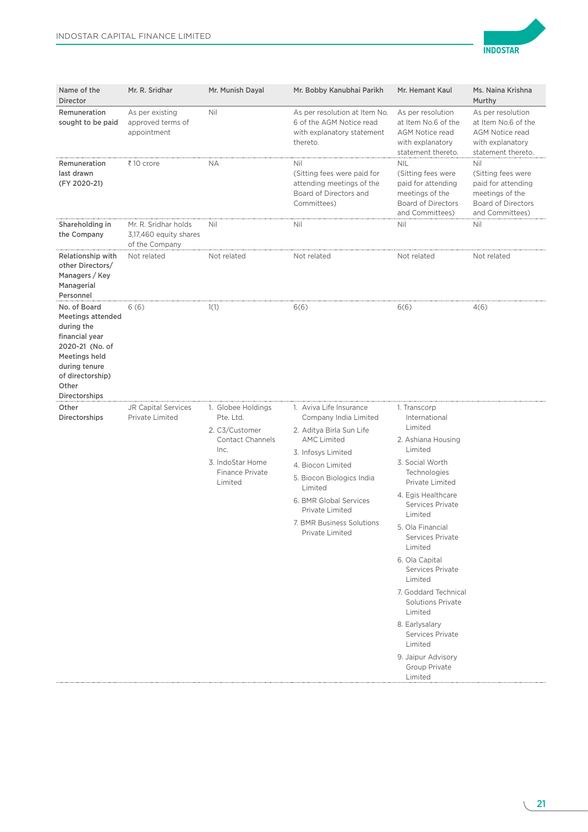

| Name of the<br><b>Director</b>                                                                                                                                              | Mr. R. Sridhar                                                   | Mr. Munish Dayal                                                                                                                              | Mr. Bobby Kanubhai Parikh                                                                                                                                                                                                                                                          | Mr. Hemant Kaul                                                                                                                                                                                                                                                                                                                                                                                                                                            | Ms. Naina Krishna<br>Murthy                                                                                        |
|-----------------------------------------------------------------------------------------------------------------------------------------------------------------------------|------------------------------------------------------------------|-----------------------------------------------------------------------------------------------------------------------------------------------|------------------------------------------------------------------------------------------------------------------------------------------------------------------------------------------------------------------------------------------------------------------------------------|------------------------------------------------------------------------------------------------------------------------------------------------------------------------------------------------------------------------------------------------------------------------------------------------------------------------------------------------------------------------------------------------------------------------------------------------------------|--------------------------------------------------------------------------------------------------------------------|
| Remuneration<br>sought to be paid                                                                                                                                           | As per existing<br>approved terms of<br>appointment              | Nil                                                                                                                                           | As per resolution at Item No.<br>6 of the AGM Notice read<br>with explanatory statement<br>thereto.                                                                                                                                                                                | As per resolution<br>at Item No.6 of the<br><b>AGM Notice read</b><br>with explanatory<br>statement thereto.                                                                                                                                                                                                                                                                                                                                               | As per resolution<br>at Item No.6 of the<br><b>AGM Notice read</b><br>with explanatory<br>statement thereto.       |
| Remuneration<br>last drawn<br>(FY 2020-21)                                                                                                                                  | ₹10 crore                                                        | NΑ                                                                                                                                            | Nil<br>(Sitting fees were paid for<br>attending meetings of the<br>Board of Directors and<br>Committees)                                                                                                                                                                           | <b>NIL</b><br>(Sitting fees were<br>paid for attending<br>meetings of the<br><b>Board of Directors</b><br>and Committees)                                                                                                                                                                                                                                                                                                                                  | Nil<br>(Sitting fees were<br>paid for attending<br>meetings of the<br><b>Board of Directors</b><br>and Committees) |
| Shareholding in<br>the Company                                                                                                                                              | Mr. R. Sridhar holds<br>3,17,460 equity shares<br>of the Company | Nil                                                                                                                                           | Nil                                                                                                                                                                                                                                                                                | Nil                                                                                                                                                                                                                                                                                                                                                                                                                                                        | Nil                                                                                                                |
| <b>Relationship with</b><br>other Directors/<br>Managers / Key<br>Managerial<br>Personnel                                                                                   | Not related                                                      | Not related                                                                                                                                   | Not related                                                                                                                                                                                                                                                                        | Not related                                                                                                                                                                                                                                                                                                                                                                                                                                                | Not related                                                                                                        |
| No. of Board<br><b>Meetings attended</b><br>during the<br>financial year<br>2020-21 (No. of<br>Meetings held<br>during tenure<br>of directorship)<br>Other<br>Directorships | 6(6)                                                             | 1(1)                                                                                                                                          | 6(6)                                                                                                                                                                                                                                                                               | 6(6)                                                                                                                                                                                                                                                                                                                                                                                                                                                       | 4(6)                                                                                                               |
| Other<br>Directorships                                                                                                                                                      | <b>JR Capital Services</b><br>Private Limited                    | 1. Globee Holdings<br>Pte. Ltd.<br>2. C3/Customer<br><b>Contact Channels</b><br>Inc.<br>3. IndoStar Home<br><b>Finance Private</b><br>Limited | 1. Aviva Life Insurance<br>Company India Limited<br>2. Aditya Birla Sun Life<br><b>AMC Limited</b><br>3. Infosys Limited<br>4. Biocon Limited<br>5. Biocon Biologics India<br>Limited<br>6. BMR Global Services<br>Private Limited<br>7. BMR Business Solutions<br>Private Limited | 1. Transcorp<br>International<br>Limited<br>2. Ashiana Housing<br>Limited<br>3. Social Worth<br>Technologies<br>Private Limited<br>4. Egis Healthcare<br>Services Private<br>Limited<br>5. Ola Financial<br>Services Private<br>Limited<br>6. Ola Capital<br>Services Private<br>Limited<br>7. Goddard Technical<br><b>Solutions Private</b><br>Limited<br>8. Earlysalary<br>Services Private<br>Limited<br>9. Jaipur Advisory<br>Group Private<br>Limited |                                                                                                                    |

 $\sqrt{2}$